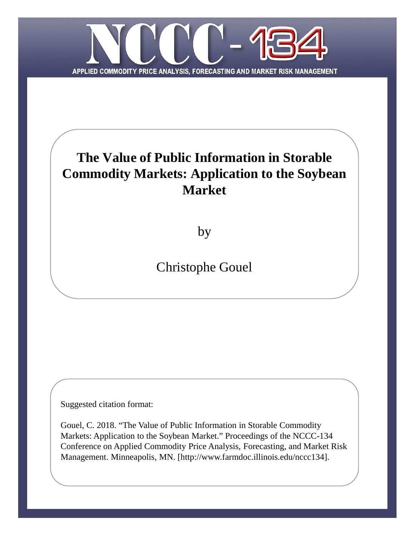

# **The Value of Public Information in Storable Commodity Markets: Application to the Soybean Market**

by

Christophe Gouel

Suggested citation format:

Gouel, C. 2018. "The Value of Public Information in Storable Commodity Markets: Application to the Soybean Market." Proceedings of the NCCC-134 Conference on Applied Commodity Price Analysis, Forecasting, and Market Risk Management. Minneapolis, MN. [http://www.farmdoc.illinois.edu/nccc134].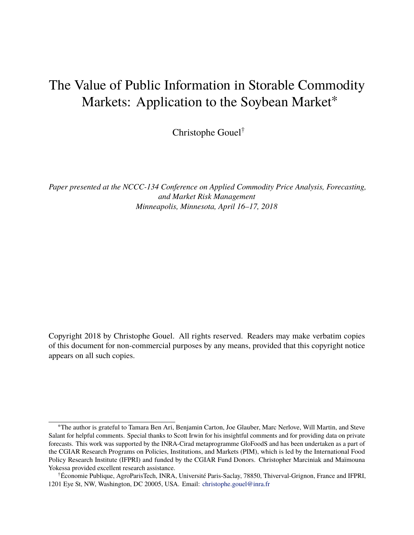# The Value of Public Information in Storable Commodity Markets: Application to the Soybean Market<sup>\*</sup>

Christophe Gouel†

*Paper presented at the NCCC-134 Conference on Applied Commodity Price Analysis, Forecasting, and Market Risk Management Minneapolis, Minnesota, April 16–17, 2018*

Copyright 2018 by Christophe Gouel. All rights reserved. Readers may make verbatim copies of this document for non-commercial purposes by any means, provided that this copyright notice appears on all such copies.

<sup>∗</sup>The author is grateful to Tamara Ben Ari, Benjamin Carton, Joe Glauber, Marc Nerlove, Will Martin, and Steve Salant for helpful comments. Special thanks to Scott Irwin for his insightful comments and for providing data on private forecasts. This work was supported by the INRA-Cirad metaprogramme GloFoodS and has been undertaken as a part of the CGIAR Research Programs on Policies, Institutions, and Markets (PIM), which is led by the International Food Policy Research Institute (IFPRI) and funded by the CGIAR Fund Donors. Christopher Marciniak and Maïmouna Yokessa provided excellent research assistance.

<sup>†</sup>Économie Publique, AgroParisTech, INRA, Université Paris-Saclay, 78850, Thiverval-Grignon, France and IFPRI, 1201 Eye St, NW, Washington, DC 20005, USA. Email: [christophe.gouel@inra.fr](mailto:christophe.gouel@inra.fr)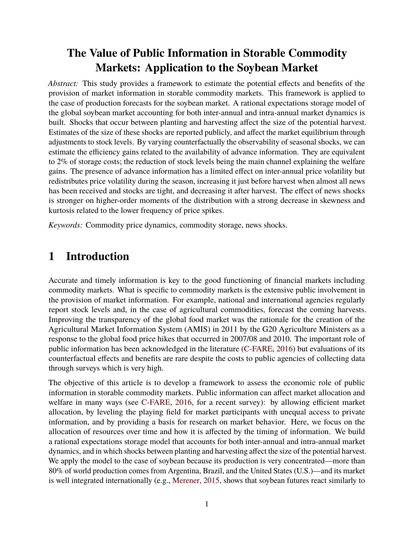## **The Value of Public Information in Storable Commodity Markets: Application to the Soybean Market**

*Abstract:* This study provides a framework to estimate the potential effects and benefits of the provision of market information in storable commodity markets. This framework is applied to the case of production forecasts for the soybean market. A rational expectations storage model of the global soybean market accounting for both inter-annual and intra-annual market dynamics is built. Shocks that occur between planting and harvesting affect the size of the potential harvest. Estimates of the size of these shocks are reported publicly, and affect the market equilibrium through adjustments to stock levels. By varying counterfactually the observability of seasonal shocks, we can estimate the efficiency gains related to the availability of advance information. They are equivalent to 2% of storage costs; the reduction of stock levels being the main channel explaining the welfare gains. The presence of advance information has a limited effect on inter-annual price volatility but redistributes price volatility during the season, increasing it just before harvest when almost all news has been received and stocks are tight, and decreasing it after harvest. The effect of news shocks is stronger on higher-order moments of the distribution with a strong decrease in skewness and kurtosis related to the lower frequency of price spikes.

*Keywords:* Commodity price dynamics, commodity storage, news shocks.

## **1 Introduction**

Accurate and timely information is key to the good functioning of financial markets including commodity markets. What is specific to commodity markets is the extensive public involvement in the provision of market information. For example, national and international agencies regularly report stock levels and, in the case of agricultural commodities, forecast the coming harvests. Improving the transparency of the global food market was the rationale for the creation of the Agricultural Market Information System (AMIS) in 2011 by the G20 Agriculture Ministers as a response to the global food price hikes that occurred in 2007/08 and 2010. The important role of public information has been acknowledged in the literature [\(C-FARE,](#page-37-0) [2016\)](#page-37-0) but evaluations of its counterfactual effects and benefits are rare despite the costs to public agencies of collecting data through surveys which is very high.

The objective of this article is to develop a framework to assess the economic role of public information in storable commodity markets. Public information can affect market allocation and welfare in many ways (see [C-FARE,](#page-37-0) [2016,](#page-37-0) for a recent survey): by allowing efficient market allocation, by leveling the playing field for market participants with unequal access to private information, and by providing a basis for research on market behavior. Here, we focus on the allocation of resources over time and how it is affected by the timing of information. We build a rational expectations storage model that accounts for both inter-annual and intra-annual market dynamics, and in which shocks between planting and harvesting affect the size of the potential harvest. We apply the model to the case of soybean because its production is very concentrated—more than 80% of world production comes from Argentina, Brazil, and the United States (U.S.)—and its market is well integrated internationally (e.g., [Merener,](#page-39-0) [2015,](#page-39-0) shows that soybean futures react similarly to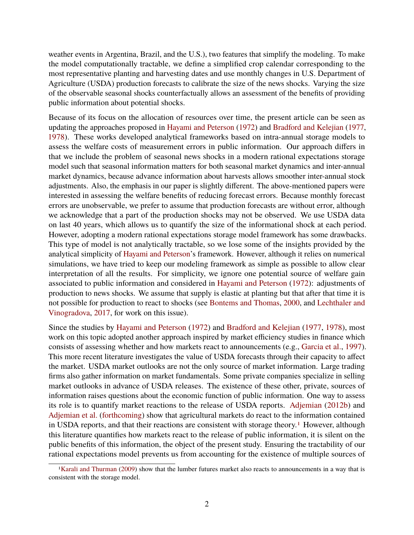weather events in Argentina, Brazil, and the U.S.), two features that simplify the modeling. To make the model computationally tractable, we define a simplified crop calendar corresponding to the most representative planting and harvesting dates and use monthly changes in U.S. Department of Agriculture (USDA) production forecasts to calibrate the size of the news shocks. Varying the size of the observable seasonal shocks counterfactually allows an assessment of the benefits of providing public information about potential shocks.

Because of its focus on the allocation of resources over time, the present article can be seen as updating the approaches proposed in [Hayami and Peterson](#page-38-0) [\(1972\)](#page-38-0) and [Bradford and Kelejian](#page-37-1) [\(1977,](#page-37-1) [1978\)](#page-37-2). These works developed analytical frameworks based on intra-annual storage models to assess the welfare costs of measurement errors in public information. Our approach differs in that we include the problem of seasonal news shocks in a modern rational expectations storage model such that seasonal information matters for both seasonal market dynamics and inter-annual market dynamics, because advance information about harvests allows smoother inter-annual stock adjustments. Also, the emphasis in our paper is slightly different. The above-mentioned papers were interested in assessing the welfare benefits of reducing forecast errors. Because monthly forecast errors are unobservable, we prefer to assume that production forecasts are without error, although we acknowledge that a part of the production shocks may not be observed. We use USDA data on last 40 years, which allows us to quantify the size of the informational shock at each period. However, adopting a modern rational expectations storage model framework has some drawbacks. This type of model is not analytically tractable, so we lose some of the insights provided by the analytical simplicity of [Hayami and Peterson'](#page-38-0)s framework. However, although it relies on numerical simulations, we have tried to keep our modeling framework as simple as possible to allow clear interpretation of all the results. For simplicity, we ignore one potential source of welfare gain associated to public information and considered in [Hayami and Peterson](#page-38-0) [\(1972\)](#page-38-0): adjustments of production to news shocks. We assume that supply is elastic at planting but that after that time it is not possible for production to react to shocks (see [Bontems and Thomas,](#page-37-3) [2000,](#page-37-3) and [Lechthaler and](#page-38-1) [Vinogradova,](#page-38-1) [2017,](#page-38-1) for work on this issue).

Since the studies by [Hayami and Peterson](#page-38-0) [\(1972\)](#page-38-0) and [Bradford and Kelejian](#page-37-1) [\(1977,](#page-37-1) [1978\)](#page-37-2), most work on this topic adopted another approach inspired by market efficiency studies in finance which consists of assessing whether and how markets react to announcements (e.g., [Garcia et al.,](#page-37-4) [1997\)](#page-37-4). This more recent literature investigates the value of USDA forecasts through their capacity to affect the market. USDA market outlooks are not the only source of market information. Large trading firms also gather information on market fundamentals. Some private companies specialize in selling market outlooks in advance of USDA releases. The existence of these other, private, sources of information raises questions about the economic function of public information. One way to assess its role is to quantify market reactions to the release of USDA reports. [Adjemian](#page-37-5) [\(2012b\)](#page-37-5) and [Adjemian et al.](#page-37-6) [\(forthcoming\)](#page-37-6) show that agricultural markets do react to the information contained in USDA reports, and that their reactions are consistent with storage theory.<sup>[1](#page-3-0)</sup> However, although this literature quantifies how markets react to the release of public information, it is silent on the public benefits of this information, the object of the present study. Ensuring the tractability of our rational expectations model prevents us from accounting for the existence of multiple sources of

<span id="page-3-0"></span><sup>&</sup>lt;sup>1</sup>[Karali and Thurman](#page-38-2) [\(2009\)](#page-38-2) show that the lumber futures market also reacts to announcements in a way that is consistent with the storage model.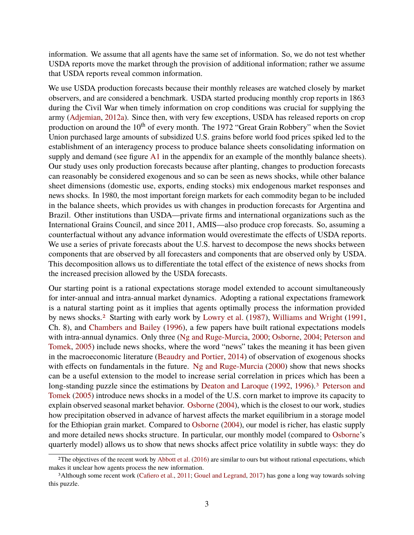information. We assume that all agents have the same set of information. So, we do not test whether USDA reports move the market through the provision of additional information; rather we assume that USDA reports reveal common information.

We use USDA production forecasts because their monthly releases are watched closely by market observers, and are considered a benchmark. USDA started producing monthly crop reports in 1863 during the Civil War when timely information on crop conditions was crucial for supplying the army [\(Adjemian,](#page-37-7) [2012a\)](#page-37-7). Since then, with very few exceptions, USDA has released reports on crop production on around the 10<sup>th</sup> of every month. The 1972 "Great Grain Robbery" when the Soviet Union purchased large amounts of subsidized U.S. grains before world food prices spiked led to the establishment of an interagency process to produce balance sheets consolidating information on supply and demand (see figure [A1](#page-36-0) in the appendix for an example of the monthly balance sheets). Our study uses only production forecasts because after planting, changes to production forecasts can reasonably be considered exogenous and so can be seen as news shocks, while other balance sheet dimensions (domestic use, exports, ending stocks) mix endogenous market responses and news shocks. In 1980, the most important foreign markets for each commodity began to be included in the balance sheets, which provides us with changes in production forecasts for Argentina and Brazil. Other institutions than USDA—private firms and international organizations such as the International Grains Council, and since 2011, AMIS—also produce crop forecasts. So, assuming a counterfactual without any advance information would overestimate the effects of USDA reports. We use a series of private forecasts about the U.S. harvest to decompose the news shocks between components that are observed by all forecasters and components that are observed only by USDA. This decomposition allows us to differentiate the total effect of the existence of news shocks from the increased precision allowed by the USDA forecasts.

Our starting point is a rational expectations storage model extended to account simultaneously for inter-annual and intra-annual market dynamics. Adopting a rational expectations framework is a natural starting point as it implies that agents optimally process the information provided by news shocks.[2](#page-4-0) Starting with early work by [Lowry et al.](#page-39-1) [\(1987\)](#page-39-1), [Williams and Wright](#page-39-2) [\(1991,](#page-39-2) Ch. 8), and [Chambers and Bailey](#page-37-8) [\(1996\)](#page-37-8), a few papers have built rational expectations models with intra-annual dynamics. Only three [\(Ng and Ruge-Murcia,](#page-39-3) [2000;](#page-39-3) [Osborne,](#page-39-4) [2004;](#page-39-4) [Peterson and](#page-39-5) [Tomek,](#page-39-5) [2005\)](#page-39-5) include news shocks, where the word "news" takes the meaning it has been given in the macroeconomic literature [\(Beaudry and Portier,](#page-37-9) [2014\)](#page-37-9) of observation of exogenous shocks with effects on fundamentals in the future. [Ng and Ruge-Murcia](#page-39-3) [\(2000\)](#page-39-3) show that news shocks can be a useful extension to the model to increase serial correlation in prices which has been a long-standing puzzle since the estimations by [Deaton and Laroque](#page-37-10) [\(1992,](#page-37-10) [1996\)](#page-37-11).<sup>[3](#page-4-1)</sup> [Peterson and](#page-39-5) [Tomek](#page-39-5) [\(2005\)](#page-39-5) introduce news shocks in a model of the U.S. corn market to improve its capacity to explain observed seasonal market behavior. [Osborne](#page-39-4) [\(2004\)](#page-39-4), which is the closest to our work, studies how precipitation observed in advance of harvest affects the market equilibrium in a storage model for the Ethiopian grain market. Compared to [Osborne](#page-39-4) [\(2004\)](#page-39-4), our model is richer, has elastic supply and more detailed news shocks structure. In particular, our monthly model (compared to [Osborne'](#page-39-4)s quarterly model) allows us to show that news shocks affect price volatility in subtle ways: they do

<span id="page-4-0"></span><sup>&</sup>lt;sup>2</sup>The objectives of the recent work by [Abbott et al.](#page-37-12) [\(2016\)](#page-37-12) are similar to ours but without rational expectations, which makes it unclear how agents process the new information.

<span id="page-4-1"></span><sup>3</sup>Although some recent work [\(Cafiero et al.,](#page-37-13) [2011;](#page-37-13) [Gouel and Legrand,](#page-38-3) [2017\)](#page-38-3) has gone a long way towards solving this puzzle.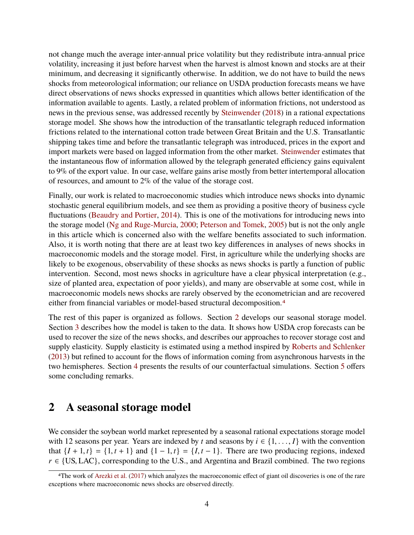not change much the average inter-annual price volatility but they redistribute intra-annual price volatility, increasing it just before harvest when the harvest is almost known and stocks are at their minimum, and decreasing it significantly otherwise. In addition, we do not have to build the news shocks from meteorological information; our reliance on USDA production forecasts means we have direct observations of news shocks expressed in quantities which allows better identification of the information available to agents. Lastly, a related problem of information frictions, not understood as news in the previous sense, was addressed recently by [Steinwender](#page-39-6) [\(2018\)](#page-39-6) in a rational expectations storage model. She shows how the introduction of the transatlantic telegraph reduced information frictions related to the international cotton trade between Great Britain and the U.S. Transatlantic shipping takes time and before the transatlantic telegraph was introduced, prices in the export and import markets were based on lagged information from the other market. [Steinwender](#page-39-6) estimates that the instantaneous flow of information allowed by the telegraph generated efficiency gains equivalent to 9% of the export value. In our case, welfare gains arise mostly from better intertemporal allocation of resources, and amount to 2% of the value of the storage cost.

Finally, our work is related to macroeconomic studies which introduce news shocks into dynamic stochastic general equilibrium models, and see them as providing a positive theory of business cycle fluctuations [\(Beaudry and Portier,](#page-37-9) [2014\)](#page-37-9). This is one of the motivations for introducing news into the storage model [\(Ng and Ruge-Murcia,](#page-39-3) [2000;](#page-39-3) [Peterson and Tomek,](#page-39-5) [2005\)](#page-39-5) but is not the only angle in this article which is concerned also with the welfare benefits associated to such information. Also, it is worth noting that there are at least two key differences in analyses of news shocks in macroeconomic models and the storage model. First, in agriculture while the underlying shocks are likely to be exogenous, observability of these shocks as news shocks is partly a function of public intervention. Second, most news shocks in agriculture have a clear physical interpretation (e.g., size of planted area, expectation of poor yields), and many are observable at some cost, while in macroeconomic models news shocks are rarely observed by the econometrician and are recovered either from financial variables or model-based structural decomposition.[4](#page-5-0)

The rest of this paper is organized as follows. Section [2](#page-5-1) develops our seasonal storage model. Section [3](#page-10-0) describes how the model is taken to the data. It shows how USDA crop forecasts can be used to recover the size of the news shocks, and describes our approaches to recover storage cost and supply elasticity. Supply elasticity is estimated using a method inspired by [Roberts and Schlenker](#page-39-7) [\(2013\)](#page-39-7) but refined to account for the flows of information coming from asynchronous harvests in the two hemispheres. Section [4](#page-23-0) presents the results of our counterfactual simulations. Section [5](#page-31-0) offers some concluding remarks.

## <span id="page-5-1"></span>**2 A seasonal storage model**

We consider the soybean world market represented by a seasonal rational expectations storage model with 12 seasons per year. Years are indexed by *t* and seasons by  $i \in \{1, \ldots, I\}$  with the convention that  $\{I + 1, t\} = \{1, t + 1\}$  and  $\{1 - 1, t\} = \{I, t - 1\}$ . There are two producing regions, indexed  $r \in \{US, LAC\}$ , corresponding to the U.S., and Argentina and Brazil combined. The two regions

<span id="page-5-0"></span><sup>4</sup>The work of [Arezki et al.](#page-37-14) [\(2017\)](#page-37-14) which analyzes the macroeconomic effect of giant oil discoveries is one of the rare exceptions where macroeconomic news shocks are observed directly.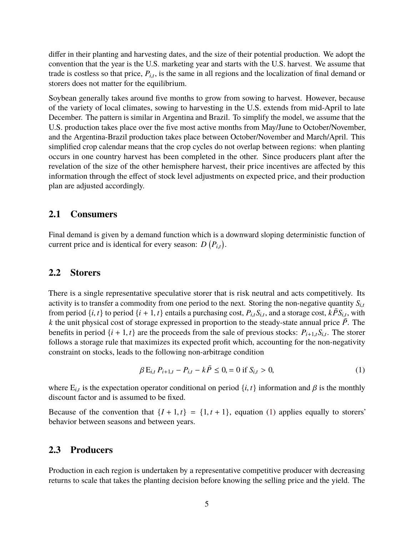differ in their planting and harvesting dates, and the size of their potential production. We adopt the convention that the year is the U.S. marketing year and starts with the U.S. harvest. We assume that trade is costless so that price,  $P_{i,t}$ , is the same in all regions and the localization of final demand or stores does not metter for the equilibrium storers does not matter for the equilibrium.

Soybean generally takes around five months to grow from sowing to harvest. However, because of the variety of local climates, sowing to harvesting in the U.S. extends from mid-April to late December. The pattern is similar in Argentina and Brazil. To simplify the model, we assume that the U.S. production takes place over the five most active months from May/June to October/November, and the Argentina-Brazil production takes place between October/November and March/April. This simplified crop calendar means that the crop cycles do not overlap between regions: when planting occurs in one country harvest has been completed in the other. Since producers plant after the revelation of the size of the other hemisphere harvest, their price incentives are affected by this information through the effect of stock level adjustments on expected price, and their production plan are adjusted accordingly.

#### **2.1 Consumers**

Final demand is given by a demand function which is a downward sloping deterministic function of current price and is identical for every season:  $D(P_{i,t})$ .

#### **2.2 Storers**

There is a single representative speculative storer that is risk neutral and acts competitively. Its activity is to transfer a commodity from one period to the next. Storing the non-negative quantity  $S_{i,t}$ from period  $\{i, t\}$  to period  $\{i + 1, t\}$  entails a purchasing cost,  $P_{i,t}S_{i,t}$ , and a storage cost,  $k\overline{P}S_{i,t}$ , with  $k$  the unit physical cost of storage expressed in proportion to the steady-state annual price *k* the unit physical cost of storage expressed in proportion to the steady-state annual price  $\overline{P}$ . The benefits in period  $\{i + 1, t\}$  are the proceeds from the sale of previous stocks:  $P_{i+1,t}S_{i,t}$ . The storer follows a storage rule that maximizes its expected profit which accounting for the pop-pegativity follows a storage rule that maximizes its expected profit which, accounting for the non-negativity constraint on stocks, leads to the following non-arbitrage condition

<span id="page-6-0"></span>
$$
\beta E_{i,t} P_{i+1,t} - P_{i,t} - k\bar{P} \le 0, = 0 \text{ if } S_{i,t} > 0,
$$
\n(1)

where  $E_{i,t}$  is the expectation operator conditional on period  $\{i, t\}$  information and  $\beta$  is the monthly discount factor and is assumed to be fixed discount factor and is assumed to be fixed.

Because of the convention that  $\{I + 1, t\} = \{1, t + 1\}$ , equation [\(1\)](#page-6-0) applies equally to storers' behavior between seasons and between years.

#### **2.3 Producers**

Production in each region is undertaken by a representative competitive producer with decreasing returns to scale that takes the planting decision before knowing the selling price and the yield. The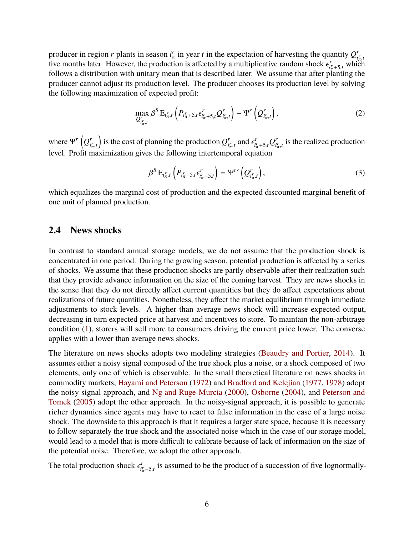producer in region *r* plants in season  $i<sub>\pi</sub><sup>r</sup>$  in year *t* in the expectation of harvesting the quantity  $Q<sub>i</sub><sup>r</sup>$ From the later. However, the production is affected by a multiplicative random shock  $\epsilon_{r_{\pi}}^r$ , which<br>follows a distribution with unitary mean that is described later. We assume that after planting the *i* r  $\prod_{i=1}^r$  which follows a distribution with unitary mean that is described later. We assume that after planting the follows a distribution with unitary mean that is described later. We assume that after planting the producer cannot adjust its production level. The producer chooses its production level by solving the following maximization of expected profit:

<span id="page-7-0"></span>
$$
\max_{Q_{i_{\pi}^r,t}^r} \beta^5 \mathbf{E}_{i_{\pi}^r,t} \left( P_{i_{\pi}^r+5,t} \epsilon_{i_{\pi}^r+5,t}^r Q_{i_{\pi}^r,t}^r \right) - \Psi^r \left( Q_{i_{\pi}^r,t}^r \right),\tag{2}
$$

where  $\Psi^r \left( Q^r_i \right)$  $i^r_\pi, t$ is the cost of planning the production  $Q_i^r$  $\epsilon_{i\pi,t}^r$  and  $\epsilon_{i\pi}^r$  $\sum_{i_{\pi}^{r}+5,t}^{r} Q_{i_{\pi}}^{r}$  $\int_{t_{\pi,t}^r}$  is the realized production level. Profit maximization gives the following intertemporal equation

<span id="page-7-1"></span>
$$
\beta^5 \mathbf{E}_{i_\pi^r, t} \left( P_{i_\pi^r + 5, t} \epsilon_{i_\pi^r + 5, t}^r \right) = \Psi^{r} \left( Q_{i_\pi^r, t}^r \right), \tag{3}
$$

which equalizes the marginal cost of production and the expected discounted marginal benefit of one unit of planned production.

#### **2.4 News shocks**

In contrast to standard annual storage models, we do not assume that the production shock is concentrated in one period. During the growing season, potential production is affected by a series of shocks. We assume that these production shocks are partly observable after their realization such that they provide advance information on the size of the coming harvest. They are news shocks in the sense that they do not directly affect current quantities but they do affect expectations about realizations of future quantities. Nonetheless, they affect the market equilibrium through immediate adjustments to stock levels. A higher than average news shock will increase expected output, decreasing in turn expected price at harvest and incentives to store. To maintain the non-arbitrage condition [\(1\)](#page-6-0), storers will sell more to consumers driving the current price lower. The converse applies with a lower than average news shocks.

The literature on news shocks adopts two modeling strategies [\(Beaudry and Portier,](#page-37-9) [2014\)](#page-37-9). It assumes either a noisy signal composed of the true shock plus a noise, or a shock composed of two elements, only one of which is observable. In the small theoretical literature on news shocks in commodity markets, [Hayami and Peterson](#page-38-0) [\(1972\)](#page-38-0) and [Bradford and Kelejian](#page-37-1) [\(1977,](#page-37-1) [1978\)](#page-37-2) adopt the noisy signal approach, and [Ng and Ruge-Murcia](#page-39-3) [\(2000\)](#page-39-3), [Osborne](#page-39-4) [\(2004\)](#page-39-4), and [Peterson and](#page-39-5) [Tomek](#page-39-5) [\(2005\)](#page-39-5) adopt the other approach. In the noisy-signal approach, it is possible to generate richer dynamics since agents may have to react to false information in the case of a large noise shock. The downside to this approach is that it requires a larger state space, because it is necessary to follow separately the true shock and the associated noise which in the case of our storage model, would lead to a model that is more difficult to calibrate because of lack of information on the size of the potential noise. Therefore, we adopt the other approach.

The total production shock  $\epsilon_{i\gamma}^r$  $i_{i\pi}^r$ +5,*t* is assumed to be the product of a succession of five lognormally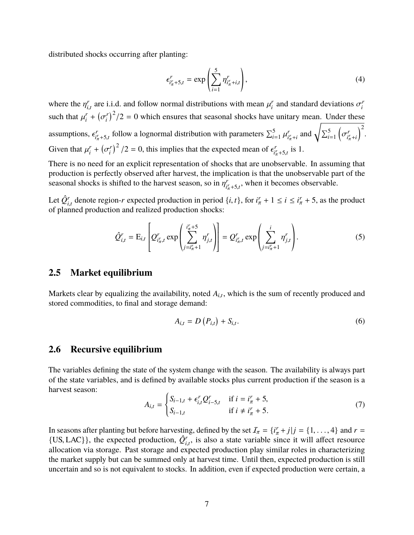distributed shocks occurring after planting:

$$
\epsilon_{i'_{\pi}+5,t}^{r} = \exp\left(\sum_{i=1}^{5} \eta_{i'_{\pi}+i,t}^{r}\right),\tag{4}
$$

where the  $\eta_{i,t}^r$  are i.i.d. and follow normal distributions with mean  $\mu_i^r$ *i*,*t i*and standard deviations  $\sigma_i^r$ *i* such that  $\mu_i^r$  $\binom{r}{i}$  + ( σ *r*  $\int_{i}^{T}$  $(2/2)$  = 0 which ensures that seasonal shocks have unitary mean. Under these assumptions,  $\epsilon_{i\text{}}^r$  $i^r_{\pi} + 5, t$ follow a lognormal distribution with parameters  $\sum_{i=1}^{5} \mu$ *r*  $i^r_\pi + i$ and  $\sqrt{\sum_{i=1}^{5}}$ ĺ σ *r*  $i^r_\pi + i$  $\big)^2$ . Given that  $\mu_i^r$  $\binom{r}{i}$  + ( σ *r*  $\int_{i}^{r}$ <sup>2</sup> /2 = 0, this implies that the expected mean of  $\epsilon_{i}^{r}$  $\int_{i\pi}^{r}$  +5,*t* is 1.

There is no need for an explicit representation of shocks that are unobservable. In assuming that production is perfectly observed after harvest, the implication is that the unobservable part of the seasonal shocks is shifted to the harvest season, so in  $\eta_{i_j}^r$  $\int_{t_{\pi}^{r}+5,t}^{r}$ , when it becomes observable.

Let *Q*ˆ*<sup>r</sup> i<sub>i</sub>*, denote region-*r* expected production in period  $\{i, t\}$ , for  $i^r_\pi + 1 \le i \le i^r_\pi + 5$ , as the product nuned production and realized production shocks: of planned production and realized production shocks:

<span id="page-8-0"></span>
$$
\hat{Q}_{i,t}^r = \mathrm{E}_{i,t} \left[ Q_{i_{\pi,t}^r}^r \exp\left( \sum_{j=i_{\pi}^r+1}^{i_{\pi}^r+5} \eta_{j,t}^r \right) \right] = Q_{i_{\pi,t}^r}^r \exp\left( \sum_{j=i_{\pi}^r+1}^i \eta_{j,t}^r \right). \tag{5}
$$

#### **2.5 Market equilibrium**

Markets clear by equalizing the availability, noted  $A_{i,t}$ , which is the sum of recently produced and stared commodition to final and starege demand: stored commodities, to final and storage demand:

$$
A_{i,t} = D(P_{i,t}) + S_{i,t}.
$$
 (6)

#### **2.6 Recursive equilibrium**

The variables defining the state of the system change with the season. The availability is always part of the state variables, and is defined by available stocks plus current production if the season is a harvest season:

<span id="page-8-1"></span>
$$
A_{i,t} = \begin{cases} S_{i-1,t} + \epsilon_{i,t}^r Q_{i-5,t}^r & \text{if } i = i_\pi^r + 5, \\ S_{i-1,t} & \text{if } i \neq i_\pi^r + 5. \end{cases}
$$
(7)

In seasons after planting but before harvesting, defined by the set  $I_{\pi} = \{i_{\pi}^r + j | j = \{1, ..., 4\} \text{ and } r = \text{if } j \in I \text{ and } r \}$ {US, LAC}}, the expected production,  $\hat{Q}^r_{i,t}$ , is also a state variable since it will affect resource allocation via storage. Past storage and expected production play similar roles in characterizing  $\{0.3, L/C_J\}$ , the expected production,  $\mathcal{Q}_{i,t}$ , is also a state variable since it will affect resource allocation via storage. Past storage and expected production play similar roles in characterizing the market supply but can be summed only at harvest time. Until then, expected production is still uncertain and so is not equivalent to stocks. In addition, even if expected production were certain, a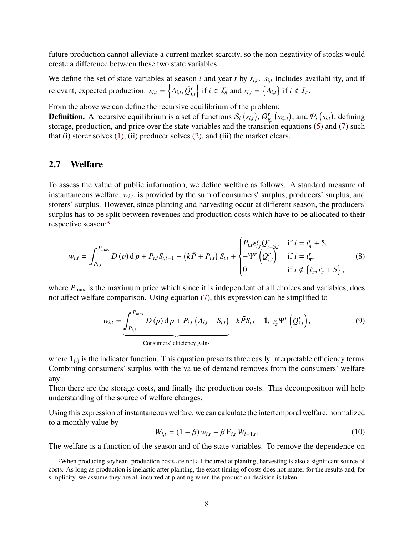future production cannot alleviate a current market scarcity, so the non-negativity of stocks would create a difference between these two state variables.

We define the set of state variables at season *i* and year *t* by  $s_{i,t}$ .  $s_{i,t}$  includes availability, and if relevant, expected production:  $s_{i,t} = \left\{ A_{i,t}, \hat{Q}_{i,t}^r \right\}$ if  $i \in \mathcal{I}_{\pi}$  and  $s_{i,t} = \{A_{i,t}\}\$ if  $i \notin \mathcal{I}_{\pi}$ .

From the above we can define the recursive equilibrium of the problem:

**Definition.** A recursive equilibrium is a set of functions  $S_i$   $(s_{i,t})$ ,  $Q_i^r$  $\int_{\frac{r}{a}}^{r} (s_{i\pi,t})$ , and  $\mathcal{P}_i (s_{i,t})$ , defining storage, production, and price over the state variables and the transition equations [\(5\)](#page-8-0) and [\(7\)](#page-8-1) such that (i) storer solves  $(1)$ ,  $(ii)$  producer solves  $(2)$ , and  $(iii)$  the market clears.

### **2.7 Welfare**

To assess the value of public information, we define welfare as follows. A standard measure of instantaneous welfare,  $w_{i,t}$ , is provided by the sum of consumers' surplus, producers' surplus, and storage' surplus. However, since planting and horvesting again at different sassen, the producers' storers' surplus. However, since planting and harvesting occur at different season, the producers' surplus has to be split between revenues and production costs which have to be allocated to their respective season:[5](#page-9-0)

$$
w_{i,t} = \int_{P_{i,t}}^{P_{\text{max}}} D(p) \, \mathrm{d} p + P_{i,t} S_{i,t-1} - (k\bar{P} + P_{i,t}) \, S_{i,t} + \begin{cases} P_{i,t} \epsilon_{i,t}^r Q_{i-5,t}^r & \text{if } i = i_\pi^r + 5, \\ -\Psi^r \left(Q_{i,t}^r\right) & \text{if } i = i_\pi^r, \\ 0 & \text{if } i \notin \{i_\pi^r, i_\pi^r + 5\}, \end{cases} \tag{8}
$$

where  $P_{\text{max}}$  is the maximum price which since it is independent of all choices and variables, does not affect welfare comparison. Using equation [\(7\)](#page-8-1), this expression can be simplified to

$$
w_{i,t} = \underbrace{\int_{P_{i,t}}^{P_{\text{max}}} D(p) \, \mathrm{d} \, p + P_{i,t} \left( A_{i,t} - S_{i,t} \right) - k \, \bar{P} S_{i,t} - \mathbf{1}_{i=i_{\pi}^{r}} \Psi^{r} \left( Q^{r}_{i,t} \right),\tag{9}
$$
\nConsumers' efficiency gains

<span id="page-9-1"></span>J.

where  $\mathbf{1}_{(.)}$  is the indicator function. This equation presents three easily interpretable efficiency terms. Combining consumers' surplus with the value of demand removes from the consumers' welfare any transfer to store  $\alpha$  and  $\alpha$  in mean price, leaving only effects in mean price,  $\alpha$ 

Then there are the storage costs, and finally the production costs. This decomposition will help understanding of the source of welfare changes.

Using this expression of instantaneous welfare, we can calculate the intertemporal welfare, normalized to a monthly value by

<span id="page-9-2"></span>
$$
W_{i,t} = (1 - \beta) w_{i,t} + \beta E_{i,t} W_{i+1,t}.
$$
 (10)

The welfare is a function of the season and of the state variables. To remove the dependence on

<span id="page-9-0"></span><sup>5</sup>When producing soybean, production costs are not all incurred at planting; harvesting is also a significant source of costs. As long as production is inelastic after planting, the exact timing of costs does not matter for the results and, for simplicity, we assume they are all incurred at planting when the production decision is taken.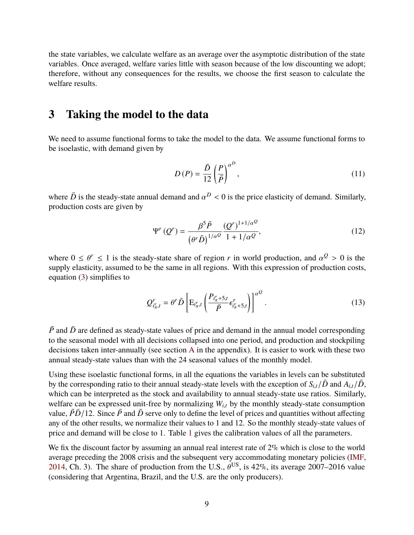the state variables, we calculate welfare as an average over the asymptotic distribution of the state variables. Once averaged, welfare varies little with season because of the low discounting we adopt; therefore, without any consequences for the results, we choose the first season to calculate the welfare results.

## <span id="page-10-0"></span>**3 Taking the model to the data**

We need to assume functional forms to take the model to the data. We assume functional forms to be isoelastic, with demand given by

$$
D(P) = \frac{\bar{D}}{12} \left(\frac{P}{\bar{P}}\right)^{\alpha P},\tag{11}
$$

where  $\bar{D}$  is the steady-state annual demand and  $\alpha^D < 0$  is the price elasticity of demand. Similarly, production costs are given by production costs are given by

$$
\Psi^{r}(Q^{r}) = \frac{\beta^{5}\bar{P}}{\left(\theta^{r}\bar{D}\right)^{1/\alpha^{Q}}} \frac{(Q^{r})^{1+1/\alpha^{Q}}}{1+1/\alpha^{Q}},\tag{12}
$$

where  $0 \le \theta^r \le 1$  is the steady-state share of region *r* in world production, and  $\alpha^Q > 0$  is the supply elasticity assumed to be the same in all regions. With this expression of production costs supply elasticity, assumed to be the same in all regions. With this expression of production costs, equation [\(3\)](#page-7-1) simplifies to

$$
Q_{i_{\pi}^r,t}^r = \theta^r \bar{D} \left[ \mathrm{E}_{i_{\pi}^r,t} \left( \frac{P_{i_{\pi}^r+5,t}}{\bar{P}} \epsilon_{i_{\pi}^r+5,t}^r \right) \right]^{\alpha^Q} . \tag{13}
$$

 $\overline{P}$  and  $\overline{D}$  are defined as steady-state values of price and demand in the annual model corresponding to the seasonal model with all decisions collapsed into one period, and production and stockpiling decisions taken inter-annually (see section [A](#page-33-0) in the appendix). It is easier to work with these two annual steady-state values than with the 24 seasonal values of the monthly model.

Using these isoelastic functional forms, in all the equations the variables in levels can be substituted by the corresponding ratio to their annual steady-state levels with the exception of  $S_{i,t}/\bar{D}$  and  $A_{i,t}/\bar{D}$ , which can be interpreted as the stock and availability to annual steady-state use ratios. Similarly, welfare can be expressed unit-free by normalizing  $W_{i,t}$  by the monthly steady-state consumption value,  $\bar{P}\bar{D}/12$ . Since  $\bar{P}$  and  $\bar{D}$  serve only to define the level of prices and quantities without affecting any of the other results, we normalize their values to 1 and 12. So the monthly steady-state values of price and demand will be close to 1. Table [1](#page-11-0) gives the calibration values of all the parameters.

We fix the discount factor by assuming an annual real interest rate of 2% which is close to the world average preceding the 2008 crisis and the subsequent very accommodating monetary policies [\(IMF,](#page-38-4) [2014,](#page-38-4) Ch. 3). The share of production from the U.S.,  $\theta^{US}$ , is 42%, its average 2007–2016 value (considering that Argentina Brazil, and the U.S. are the only producers) (considering that Argentina, Brazil, and the U.S. are the only producers).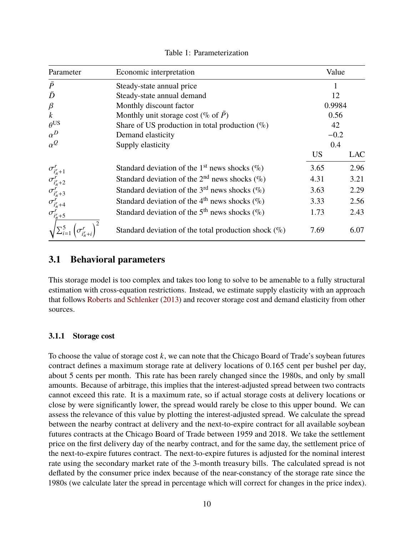<span id="page-11-0"></span>

| Parameter                                                                                                                                   | Economic interpretation                                      | Value     |            |
|---------------------------------------------------------------------------------------------------------------------------------------------|--------------------------------------------------------------|-----------|------------|
| $\bar{P}$                                                                                                                                   | Steady-state annual price                                    |           |            |
| $\bar{D}$                                                                                                                                   | Steady-state annual demand                                   | 12        |            |
| $\beta$                                                                                                                                     | Monthly discount factor                                      | 0.9984    |            |
| $\boldsymbol{k}$                                                                                                                            | Monthly unit storage cost ( $\%$ of P)                       | 0.56      |            |
| $\theta$ US                                                                                                                                 | Share of US production in total production $(\% )$           | 42        |            |
| $\alpha^D$                                                                                                                                  | Demand elasticity                                            | $-0.2$    |            |
| $\alpha^Q$                                                                                                                                  | Supply elasticity                                            | 0.4       |            |
|                                                                                                                                             |                                                              | <b>US</b> | <b>LAC</b> |
|                                                                                                                                             | Standard deviation of the 1 <sup>st</sup> news shocks $(\%)$ | 3.65      | 2.96       |
|                                                                                                                                             | Standard deviation of the $2nd$ news shocks (%)              | 4.31      | 3.21       |
|                                                                                                                                             | Standard deviation of the 3 <sup>rd</sup> news shocks $(\%)$ | 3.63      | 2.29       |
|                                                                                                                                             | Standard deviation of the 4 <sup>th</sup> news shocks $(\%)$ | 3.33      | 2.56       |
| $\sigma_{i_\pi^r+1}^r\\ \sigma_{i_\pi^r+2}^r\\ \sigma_{i_\pi^r+3}^r\\ \sigma_{i_\pi^r+4}^r\\ \sigma_{i_\pi^r+5}^r\\ \sigma_{i_\pi^r+5}^r\\$ | Standard deviation of the 5 <sup>th</sup> news shocks $(\%)$ | 1.73      | 2.43       |
|                                                                                                                                             | Standard deviation of the total production shock $(\%)$      | 7.69      | 6.07       |

Table 1: Parameterization

## **3.1 Behavioral parameters**

This storage model is too complex and takes too long to solve to be amenable to a fully structural estimation with cross-equation restrictions. Instead, we estimate supply elasticity with an approach that follows [Roberts and Schlenker](#page-39-7) [\(2013\)](#page-39-7) and recover storage cost and demand elasticity from other sources.

### **3.1.1 Storage cost**

To choose the value of storage cost *k*, we can note that the Chicago Board of Trade's soybean futures contract defines a maximum storage rate at delivery locations of 0.165 cent per bushel per day, about 5 cents per month. This rate has been rarely changed since the 1980s, and only by small amounts. Because of arbitrage, this implies that the interest-adjusted spread between two contracts cannot exceed this rate. It is a maximum rate, so if actual storage costs at delivery locations or close by were significantly lower, the spread would rarely be close to this upper bound. We can assess the relevance of this value by plotting the interest-adjusted spread. We calculate the spread between the nearby contract at delivery and the next-to-expire contract for all available soybean futures contracts at the Chicago Board of Trade between 1959 and 2018. We take the settlement price on the first delivery day of the nearby contract, and for the same day, the settlement price of the next-to-expire futures contract. The next-to-expire futures is adjusted for the nominal interest rate using the secondary market rate of the 3-month treasury bills. The calculated spread is not deflated by the consumer price index because of the near-constancy of the storage rate since the 1980s (we calculate later the spread in percentage which will correct for changes in the price index).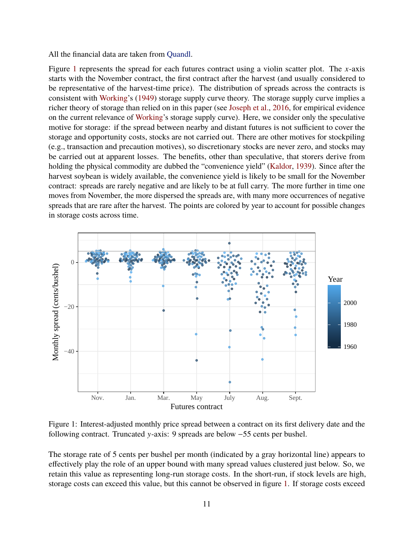All the financial data are taken from [Quandl.](https://www.quandl.com/)

Figure [1](#page-12-0) represents the spread for each futures contract using a violin scatter plot. The *x*-axis starts with the November contract, the first contract after the harvest (and usually considered to be representative of the harvest-time price). The distribution of spreads across the contracts is consistent with [Working'](#page-39-8)s [\(1949\)](#page-39-8) storage supply curve theory. The storage supply curve implies a richer theory of storage than relied on in this paper (see [Joseph et al.,](#page-38-5) [2016,](#page-38-5) for empirical evidence on the current relevance of [Working'](#page-39-8)s storage supply curve). Here, we consider only the speculative motive for storage: if the spread between nearby and distant futures is not sufficient to cover the storage and opportunity costs, stocks are not carried out. There are other motives for stockpiling (e.g., transaction and precaution motives), so discretionary stocks are never zero, and stocks may be carried out at apparent losses. The benefits, other than speculative, that storers derive from holding the physical commodity are dubbed the "convenience yield" [\(Kaldor,](#page-38-6) [1939\)](#page-38-6). Since after the harvest soybean is widely available, the convenience yield is likely to be small for the November contract: spreads are rarely negative and are likely to be at full carry. The more further in time one moves from November, the more dispersed the spreads are, with many more occurrences of negative spreads that are rare after the harvest. The points are colored by year to account for possible changes in storage costs across time.

<span id="page-12-0"></span>

Figure 1: Interest-adjusted monthly price spread between a contract on its first delivery date and the following contract. Truncated y-axis: 9 spreads are below −55 cents per bushel.

The storage rate of 5 cents per bushel per month (indicated by a gray horizontal line) appears to effectively play the role of an upper bound with many spread values clustered just below. So, we retain this value as representing long-run storage costs. In the short-run, if stock levels are high, storage costs can exceed this value, but this cannot be observed in figure [1.](#page-12-0) If storage costs exceed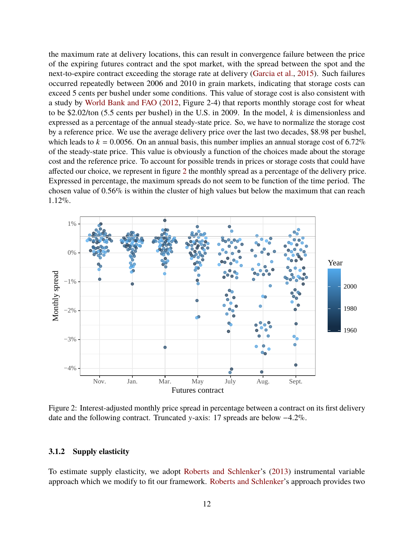the maximum rate at delivery locations, this can result in convergence failure between the price of the expiring futures contract and the spot market, with the spread between the spot and the next-to-expire contract exceeding the storage rate at delivery [\(Garcia et al.,](#page-38-7) [2015\)](#page-38-7). Such failures occurred repeatedly between 2006 and 2010 in grain markets, indicating that storage costs can exceed 5 cents per bushel under some conditions. This value of storage cost is also consistent with a study by [World Bank and FAO](#page-40-0) [\(2012,](#page-40-0) Figure 2-4) that reports monthly storage cost for wheat to be \$2.02/ton (5.5 cents per bushel) in the U.S. in 2009. In the model, *k* is dimensionless and expressed as a percentage of the annual steady-state price. So, we have to normalize the storage cost by a reference price. We use the average delivery price over the last two decades, \$8.98 per bushel, which leads to  $k = 0.0056$ . On an annual basis, this number implies an annual storage cost of 6.72% of the steady-state price. This value is obviously a function of the choices made about the storage cost and the reference price. To account for possible trends in prices or storage costs that could have affected our choice, we represent in figure [2](#page-13-0) the monthly spread as a percentage of the delivery price. Expressed in percentage, the maximum spreads do not seem to be function of the time period. The chosen value of 0.56% is within the cluster of high values but below the maximum that can reach 1.12%.

<span id="page-13-0"></span>

Figure 2: Interest-adjusted monthly price spread in percentage between a contract on its first delivery date and the following contract. Truncated y-axis: 17 spreads are below −4.2%.

#### **3.1.2 Supply elasticity**

To estimate supply elasticity, we adopt [Roberts and Schlenker'](#page-39-7)s [\(2013\)](#page-39-7) instrumental variable approach which we modify to fit our framework. [Roberts and Schlenker'](#page-39-7)s approach provides two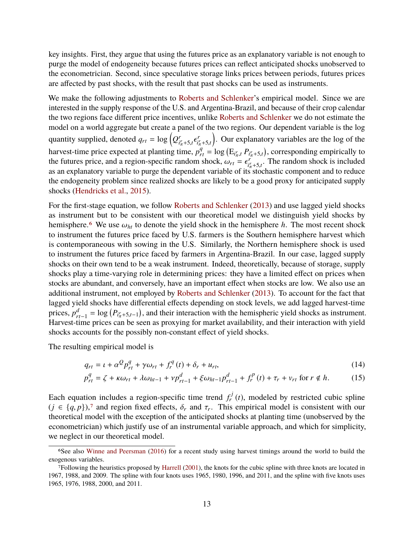key insights. First, they argue that using the futures price as an explanatory variable is not enough to purge the model of endogeneity because futures prices can reflect anticipated shocks unobserved to the econometrician. Second, since speculative storage links prices between periods, futures prices are affected by past shocks, with the result that past shocks can be used as instruments.

We make the following adjustments to [Roberts and Schlenker'](#page-39-7)s empirical model. Since we are interested in the supply response of the U.S. and Argentina-Brazil, and because of their crop calendar the two regions face different price incentives, unlike [Roberts and Schlenker](#page-39-7) we do not estimate the model on a world aggregate but create a panel of the two regions. Our dependent variable is the log quantity supplied, denoted  $q_{rt} = \log\left(Q_{it}^r\right)$  $i_{\pi}^{r}$ +5,*t*<sup> $\epsilon$ </sup> *r*  $i^r_{\pi}$ +5,*t*<br>*q*  . Our explanatory variables are the log of the harvest-time price expected at planting time,  $p_{rt}^q = \log (\mathbf{E}_{i_r^r}, P_{i_r^r + 5,t})$ , corresponding empirically to the futures price, and a region enocifie rendom shock to  $\mathbf{E}_{i_r^r}$ . The rendom shock is included the futures price, and a region-specific random shock,  $\omega_{rt} = \epsilon_{ij}^r$ <br>as an explanatory variable to purge the dependent variable of its  $i_{i\pi}^r + 5$ , The random shock is included as an explanatory variable to purge the dependent variable of its stochastic component and to reduce as an explanatory variable to purge the dependent variable of its stochastic component and to reduce the endogeneity problem since realized shocks are likely to be a good proxy for anticipated supply shocks [\(Hendricks et al.,](#page-38-8) [2015\)](#page-38-8).

For the first-stage equation, we follow [Roberts and Schlenker](#page-39-7) [\(2013\)](#page-39-7) and use lagged yield shocks as instrument but to be consistent with our theoretical model we distinguish yield shocks by hemisphere.<sup>[6](#page-14-0)</sup> We use  $\omega_{ht}$  to denote the yield shock in the hemisphere *h*. The most recent shock to instrument the futures price faced by U.S. farmers is the Southern hemisphere harvest which is contemporaneous with sowing in the U.S. Similarly, the Northern hemisphere shock is used to instrument the futures price faced by farmers in Argentina-Brazil. In our case, lagged supply shocks on their own tend to be a weak instrument. Indeed, theoretically, because of storage, supply shocks play a time-varying role in determining prices: they have a limited effect on prices when stocks are abundant, and conversely, have an important effect when stocks are low. We also use an additional instrument, not employed by [Roberts and Schlenker](#page-39-7) [\(2013\)](#page-39-7). To account for the fact that lagged yield shocks have differential effects depending on stock levels, we add lagged harvest-time prices, *p d*  $r_{rt-1}^d = \log (P_{ir, +5, t-1})$ , and their interaction with the hemispheric yield shocks as instrument. Harvest-time prices can be seen as proxying for market availability, and their interaction with yield shocks accounts for the possibly non-constant effect of yield shocks.

The resulting empirical model is

$$
q_{rt} = \iota + \alpha^{\mathcal{Q}} p_{rt}^{\mathcal{Q}} + \gamma \omega_{rt} + f_r^{\mathcal{Q}}(t) + \delta_r + u_{rt},
$$
\n(14)

$$
p_{rt}^q = \zeta + \kappa \omega_{rt} + \lambda \omega_{ht-1} + \nu p_{rt-1}^d + \xi \omega_{ht-1} p_{rt-1}^d + f_r^p(t) + \tau_r + \nu_{rt} \text{ for } r \notin h. \tag{15}
$$

Each equation includes a region-specific time trend  $f_r^j$  $r_t^{cJ}(t)$ , modeled by restricted cubic spline  $(j \in \{q, p\})$ ,<sup>[7](#page-14-1)</sup> and region fixed effects,  $\delta_r$  and  $\tau_r$ . This empirical model is consistent with our theoretical model with the exception of the anticipated shocks at planting time (upobserved by the theoretical model with the exception of the anticipated shocks at planting time (unobserved by the econometrician) which justify use of an instrumental variable approach, and which for simplicity, we neglect in our theoretical model.

<span id="page-14-0"></span><sup>6</sup>See also [Winne and Peersman](#page-39-9) [\(2016\)](#page-39-9) for a recent study using harvest timings around the world to build the exogenous variables.

<span id="page-14-1"></span><sup>7</sup>Following the heuristics proposed by [Harrell](#page-38-9) [\(2001\)](#page-38-9), the knots for the cubic spline with three knots are located in 1967, 1988, and 2009. The spline with four knots uses 1965, 1980, 1996, and 2011, and the spline with five knots uses 1965, 1976, 1988, 2000, and 2011.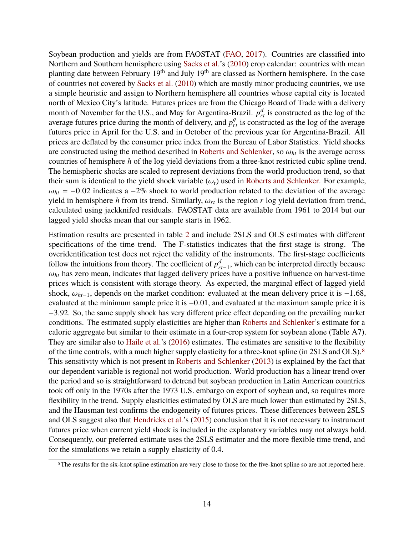Soybean production and yields are from FAOSTAT [\(FAO,](#page-37-15) [2017\)](#page-37-15). Countries are classified into Northern and Southern hemisphere using [Sacks et al.'](#page-39-10)s [\(2010\)](#page-39-10) crop calendar: countries with mean planting date between February  $19<sup>th</sup>$  and July  $19<sup>th</sup>$  are classed as Northern hemisphere. In the case of countries not covered by [Sacks et al.](#page-39-10) [\(2010\)](#page-39-10) which are mostly minor producing countries, we use a simple heuristic and assign to Northern hemisphere all countries whose capital city is located north of Mexico City's latitude. Futures prices are from the Chicago Board of Trade with a delivery month of November for the U.S., and May for Argentina-Brazil.  $p_{rt}^d$  is constructed as the log of the average futures price during the month of delivery, and  $p_{rt}^q$  is constructed as the log of the average futures price in April for the U.S. and in October of the previous year for Argentina-Brazil. All prices are deflated by the consumer price index from the Bureau of Labor Statistics. Yield shocks are constructed using the method described in [Roberts and Schlenker,](#page-39-7) so  $\omega_{ht}$  is the average across countries of hemisphere *h* of the log yield deviations from a three-knot restricted cubic spline trend. The hemispheric shocks are scaled to represent deviations from the world production trend, so that their sum is identical to the yield shock variable  $(\omega_t)$  used in [Roberts and Schlenker.](#page-39-7) For example,  $\omega_{ht}$  = −0.02 indicates a −2% shock to world production related to the deviation of the average yield in hemisphere *h* from its trend. Similarly,  $\omega_{rt}$  is the region *r* log yield deviation from trend, calculated using jackknifed residuals. FAOSTAT data are available from 1961 to 2014 but our lagged yield shocks mean that our sample starts in 1962.

Estimation results are presented in table [2](#page-16-0) and include 2SLS and OLS estimates with different specifications of the time trend. The F-statistics indicates that the first stage is strong. The overidentification test does not reject the validity of the instruments. The first-stage coefficients follow the intuitions from theory. The coefficient of  $p_x^d$ *rt*−1 , which can be interpreted directly because  $\omega_{ht}$  has zero mean, indicates that lagged delivery prices have a positive influence on harvest-time prices which is consistent with storage theory. As expected, the marginal effect of lagged yield shock,  $\omega_{ht-1}$ , depends on the market condition: evaluated at the mean delivery price it is −1.68, evaluated at the minimum sample price it is <sup>−</sup>0.01, and evaluated at the maximum sample price it is <sup>−</sup>3.92. So, the same supply shock has very different price effect depending on the prevailing market conditions. The estimated supply elasticities are higher than [Roberts and Schlenker'](#page-39-7)s estimate for a caloric aggregate but similar to their estimate in a four-crop system for soybean alone (Table A7). They are similar also to [Haile et al.'](#page-38-10)s [\(2016\)](#page-38-10) estimates. The estimates are sensitive to the flexibility of the time controls, with a much higher supply elasticity for a three-knot spline (in 2SLS and OLS).[8](#page-15-0) This sensitivity which is not present in [Roberts and Schlenker](#page-39-7) [\(2013\)](#page-39-7) is explained by the fact that our dependent variable is regional not world production. World production has a linear trend over the period and so is straightforward to detrend but soybean production in Latin American countries took off only in the 1970s after the 1973 U.S. embargo on export of soybean and, so requires more flexibility in the trend. Supply elasticities estimated by OLS are much lower than estimated by 2SLS, and the Hausman test confirms the endogeneity of futures prices. These differences between 2SLS and OLS suggest also that [Hendricks et al.'](#page-38-8)s [\(2015\)](#page-38-8) conclusion that it is not necessary to instrument futures price when current yield shock is included in the explanatory variables may not always hold. Consequently, our preferred estimate uses the 2SLS estimator and the more flexible time trend, and for the simulations we retain a supply elasticity of 0.4.

<span id="page-15-0"></span><sup>8</sup>The results for the six-knot spline estimation are very close to those for the five-knot spline so are not reported here.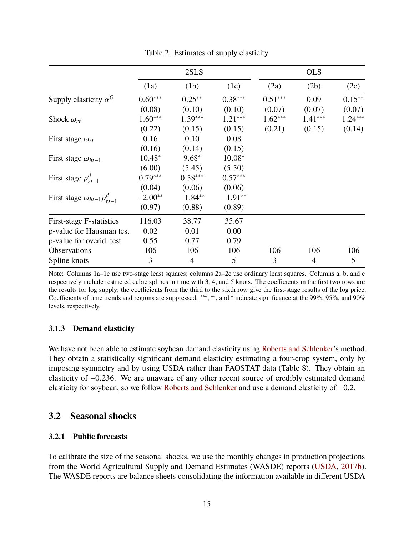<span id="page-16-0"></span>

|                                       |           | 2SLS           |           |           | <b>OLS</b>     |           |
|---------------------------------------|-----------|----------------|-----------|-----------|----------------|-----------|
|                                       | (1a)      | (1b)           | (1c)      | (2a)      | (2b)           | (2c)      |
| Supply elasticity $\alpha^Q$          | $0.60***$ | $0.25***$      | $0.38***$ | $0.51***$ | 0.09           | $0.15***$ |
|                                       | (0.08)    | (0.10)         | (0.10)    | (0.07)    | (0.07)         | (0.07)    |
| Shock $\omega_{rt}$                   | $1.60***$ | $1.39***$      | $1.21***$ | $1.62***$ | $1.41***$      | $1.24***$ |
|                                       | (0.22)    | (0.15)         | (0.15)    | (0.21)    | (0.15)         | (0.14)    |
| First stage $\omega_{rt}$             | 0.16      | 0.10           | 0.08      |           |                |           |
|                                       | (0.16)    | (0.14)         | (0.15)    |           |                |           |
| First stage $\omega_{ht-1}$           | $10.48*$  | $9.68*$        | $10.08*$  |           |                |           |
|                                       | (6.00)    | (5.45)         | (5.50)    |           |                |           |
| First stage $p_{rt-1}^d$              | $0.79***$ | $0.58***$      | $0.57***$ |           |                |           |
|                                       | (0.04)    | (0.06)         | (0.06)    |           |                |           |
| First stage $\omega_{ht-1}p_{rt-1}^d$ | $-2.00**$ | $-1.84**$      | $-1.91**$ |           |                |           |
|                                       | (0.97)    | (0.88)         | (0.89)    |           |                |           |
| First-stage F-statistics              | 116.03    | 38.77          | 35.67     |           |                |           |
| p-value for Hausman test              | 0.02      | 0.01           | 0.00      |           |                |           |
| p-value for overid. test              | 0.55      | 0.77           | 0.79      |           |                |           |
| Observations                          | 106       | 106            | 106       | 106       | 106            | 106       |
| Spline knots                          | 3         | $\overline{4}$ | 5         | 3         | $\overline{4}$ | 5         |

Table 2: Estimates of supply elasticity

Note: Columns 1a–1c use two-stage least squares; columns 2a–2c use ordinary least squares. Columns a, b, and c respectively include restricted cubic splines in time with 3, 4, and 5 knots. The coefficients in the first two rows are the results for log supply; the coefficients from the third to the sixth row give the first-stage results of the log price. Coefficients of time trends and regions are suppressed. \*\*\*, \*\*, and \* indicate significance at the 99%, 95%, and 90% levels, respectively.

### **3.1.3 Demand elasticity**

We have not been able to estimate soybean demand elasticity using [Roberts and Schlenker'](#page-39-7)s method. They obtain a statistically significant demand elasticity estimating a four-crop system, only by imposing symmetry and by using USDA rather than FAOSTAT data (Table 8). They obtain an elasticity of <sup>−</sup>0.236. We are unaware of any other recent source of credibly estimated demand elasticity for soybean, so we follow [Roberts and Schlenker](#page-39-7) and use a demand elasticity of <sup>−</sup>0.2.

## **3.2 Seasonal shocks**

### **3.2.1 Public forecasts**

To calibrate the size of the seasonal shocks, we use the monthly changes in production projections from the World Agricultural Supply and Demand Estimates (WASDE) reports [\(USDA,](#page-39-11) [2017b\)](#page-39-11). The WASDE reports are balance sheets consolidating the information available in different USDA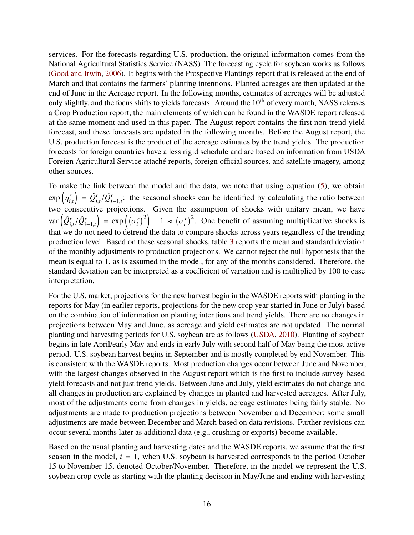services. For the forecasts regarding U.S. production, the original information comes from the National Agricultural Statistics Service (NASS). The forecasting cycle for soybean works as follows [\(Good and Irwin,](#page-38-11) [2006\)](#page-38-11). It begins with the Prospective Plantings report that is released at the end of March and that contains the farmers' planting intentions. Planted acreages are then updated at the end of June in the Acreage report. In the following months, estimates of acreages will be adjusted only slightly, and the focus shifts to yields forecasts. Around the 10<sup>th</sup> of every month, NASS releases a Crop Production report, the main elements of which can be found in the WASDE report released at the same moment and used in this paper. The August report contains the first non-trend yield forecast, and these forecasts are updated in the following months. Before the August report, the U.S. production forecast is the product of the acreage estimates by the trend yields. The production forecasts for foreign countries have a less rigid schedule and are based on information from USDA Foreign Agricultural Service attaché reports, foreign official sources, and satellite imagery, among other sources.

To make the link between the model and the data, we note that using equation [\(5\)](#page-8-0), we obtain exp  $\overline{a}$ *r i*,*t*  $\hat{Q}^r_i$ *i*,*t*  $/\hat{Q}^r_i$  $\sum_{i=1,t}^{r}$ : the seasonal shocks can be identified by calculating the ratio between two consecutive projections. Given the assumption of shocks with unitary mean, we have var *Q*ˆ*r i*,*t*  $/\hat{Q}^r_i$ *<sup>i</sup>*−1,*<sup>t</sup>*  $= \exp \left( (\sigma_i^r)$ that we do not need to detrend the data to compare shocks across years regardless of the trending  $\left(\sigma_i^r\right)^2$  – 1  $\approx \left(\sigma_i^r\right)$  $\binom{r}{i}^2$ . One benefit of assuming multiplicative shocks is production level. Based on these seasonal shocks, table [3](#page-18-0) reports the mean and standard deviation of the monthly adjustments to production projections. We cannot reject the null hypothesis that the mean is equal to 1, as is assumed in the model, for any of the months considered. Therefore, the standard deviation can be interpreted as a coefficient of variation and is multiplied by 100 to ease interpretation.

For the U.S. market, projections for the new harvest begin in the WASDE reports with planting in the reports for May (in earlier reports, projections for the new crop year started in June or July) based on the combination of information on planting intentions and trend yields. There are no changes in projections between May and June, as acreage and yield estimates are not updated. The normal planting and harvesting periods for U.S. soybean are as follows [\(USDA,](#page-39-12) [2010\)](#page-39-12). Planting of soybean begins in late April/early May and ends in early July with second half of May being the most active period. U.S. soybean harvest begins in September and is mostly completed by end November. This is consistent with the WASDE reports. Most production changes occur between June and November, with the largest changes observed in the August report which is the first to include survey-based yield forecasts and not just trend yields. Between June and July, yield estimates do not change and all changes in production are explained by changes in planted and harvested acreages. After July, most of the adjustments come from changes in yields, acreage estimates being fairly stable. No adjustments are made to production projections between November and December; some small adjustments are made between December and March based on data revisions. Further revisions can occur several months later as additional data (e.g., crushing or exports) become available.

Based on the usual planting and harvesting dates and the WASDE reports, we assume that the first season in the model,  $i = 1$ , when U.S. soybean is harvested corresponds to the period October 15 to November 15, denoted October/November. Therefore, in the model we represent the U.S. soybean crop cycle as starting with the planting decision in May/June and ending with harvesting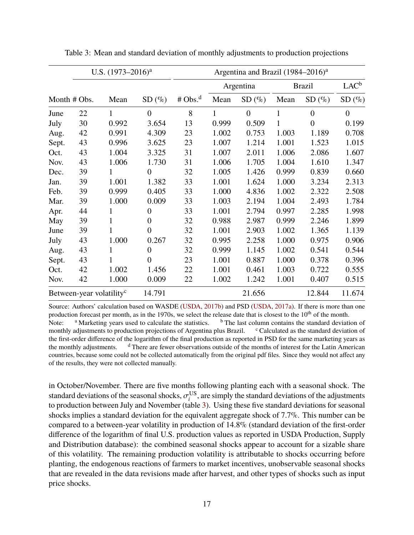|       | U.S. $(1973-2016)^{a}$               |       |                  |           |       | Argentina and Brazil (1984–2016) <sup>a</sup> |              |                  |                |
|-------|--------------------------------------|-------|------------------|-----------|-------|-----------------------------------------------|--------------|------------------|----------------|
|       |                                      |       |                  |           |       | Argentina                                     |              | <b>Brazil</b>    | $LAC^b$        |
|       | Month # Obs.                         | Mean  | SD(%)            | # $Obs^d$ | Mean  | SD(%)                                         | Mean         | SD(%)            | SD(%)          |
| June  | 22                                   | 1     | $\boldsymbol{0}$ | 8         | 1     | $\overline{0}$                                | 1            | $\boldsymbol{0}$ | $\overline{0}$ |
| July  | 30                                   | 0.992 | 3.654            | 13        | 0.999 | 0.509                                         | $\mathbf{1}$ | $\overline{0}$   | 0.199          |
| Aug.  | 42                                   | 0.991 | 4.309            | 23        | 1.002 | 0.753                                         | 1.003        | 1.189            | 0.708          |
| Sept. | 43                                   | 0.996 | 3.625            | 23        | 1.007 | 1.214                                         | 1.001        | 1.523            | 1.015          |
| Oct.  | 43                                   | 1.004 | 3.325            | 31        | 1.007 | 2.011                                         | 1.006        | 2.086            | 1.607          |
| Nov.  | 43                                   | 1.006 | 1.730            | 31        | 1.006 | 1.705                                         | 1.004        | 1.610            | 1.347          |
| Dec.  | 39                                   | 1     | $\overline{0}$   | 32        | 1.005 | 1.426                                         | 0.999        | 0.839            | 0.660          |
| Jan.  | 39                                   | 1.001 | 1.382            | 33        | 1.001 | 1.624                                         | 1.000        | 3.234            | 2.313          |
| Feb.  | 39                                   | 0.999 | 0.405            | 33        | 1.000 | 4.836                                         | 1.002        | 2.322            | 2.508          |
| Mar.  | 39                                   | 1.000 | 0.009            | 33        | 1.003 | 2.194                                         | 1.004        | 2.493            | 1.784          |
| Apr.  | 44                                   | 1     | $\boldsymbol{0}$ | 33        | 1.001 | 2.794                                         | 0.997        | 2.285            | 1.998          |
| May   | 39                                   |       | $\overline{0}$   | 32        | 0.988 | 2.987                                         | 0.999        | 2.246            | 1.899          |
| June  | 39                                   |       | $\overline{0}$   | 32        | 1.001 | 2.903                                         | 1.002        | 1.365            | 1.139          |
| July  | 43                                   | 1.000 | 0.267            | 32        | 0.995 | 2.258                                         | 1.000        | 0.975            | 0.906          |
| Aug.  | 43                                   | 1     | $\overline{0}$   | 32        | 0.999 | 1.145                                         | 1.002        | 0.541            | 0.544          |
| Sept. | 43                                   |       | $\overline{0}$   | 23        | 1.001 | 0.887                                         | 1.000        | 0.378            | 0.396          |
| Oct.  | 42                                   | 1.002 | 1.456            | 22        | 1.001 | 0.461                                         | 1.003        | 0.722            | 0.555          |
| Nov.  | 42                                   | 1.000 | 0.009            | 22        | 1.002 | 1.242                                         | 1.001        | 0.407            | 0.515          |
|       | Between-year volatility <sup>c</sup> |       | 14.791           |           |       | 21.656                                        |              | 12.844           | 11.674         |

<span id="page-18-0"></span>Table 3: Mean and standard deviation of monthly adjustments to production projections

Source: Authors' calculation based on WASDE [\(USDA,](#page-39-11) [2017b\)](#page-39-11) and PSD [\(USDA,](#page-39-13) [2017a\)](#page-39-13). If there is more than one production forecast per month, as in the 1970s, we select the release date that is closest to the  $10<sup>th</sup>$  of the month. Note: <sup>a</sup> Marketing years used to calculate the statistics. <sup>b</sup> The last column contains the standard deviation of monthly adjustments to production projections of Argentina plus Brazil.  $\cdot$  Calculated as the standard deviation of the first-order difference of the logarithm of the final production as reported in PSD for the same marketing years as the monthly adjustments. <sup>d</sup> There are fewer observations outside of the months of interest for the Latin American countries, because some could not be collected automatically from the original pdf files. Since they would not affect any of the results, they were not collected manually.

in October/November. There are five months following planting each with a seasonal shock. The standard deviations of the seasonal shocks,  $\sigma_i^{\text{US}}$ <br>to production between July and November (tabl  $i$ <sup>US</sup>, are simply the standard deviations of the adjustments to production between July and November (table [3\)](#page-18-0). Using these five standard deviations for seasonal shocks implies a standard deviation for the equivalent aggregate shock of 7.7%. This number can be compared to a between-year volatility in production of 14.8% (standard deviation of the first-order difference of the logarithm of final U.S. production values as reported in USDA Production, Supply and Distribution database): the combined seasonal shocks appear to account for a sizable share of this volatility. The remaining production volatility is attributable to shocks occurring before planting, the endogenous reactions of farmers to market incentives, unobservable seasonal shocks that are revealed in the data revisions made after harvest, and other types of shocks such as input price shocks.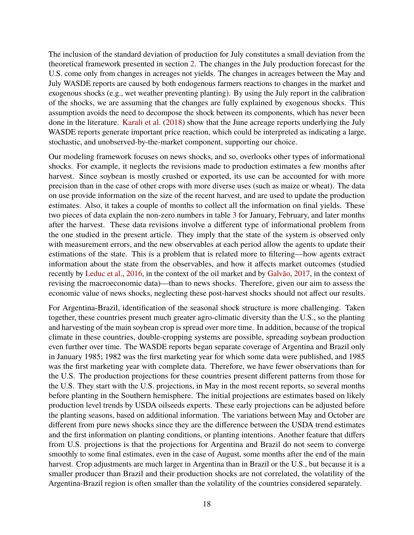The inclusion of the standard deviation of production for July constitutes a small deviation from the theoretical framework presented in section [2.](#page-5-1) The changes in the July production forecast for the U.S. come only from changes in acreages not yields. The changes in acreages between the May and July WASDE reports are caused by both endogenous farmers reactions to changes in the market and exogenous shocks (e.g., wet weather preventing planting). By using the July report in the calibration of the shocks, we are assuming that the changes are fully explained by exogenous shocks. This assumption avoids the need to decompose the shock between its components, which has never been done in the literature. [Karali et al.](#page-38-12) [\(2018\)](#page-38-12) show that the June acreage reports underlying the July WASDE reports generate important price reaction, which could be interpreted as indicating a large, stochastic, and unobserved-by-the-market component, supporting our choice.

Our modeling framework focuses on news shocks, and so, overlooks other types of informational shocks. For example, it neglects the revisions made to production estimates a few months after harvest. Since soybean is mostly crushed or exported, its use can be accounted for with more precision than in the case of other crops with more diverse uses (such as maize or wheat). The data on use provide information on the size of the recent harvest, and are used to update the production estimates. Also, it takes a couple of months to collect all the information on final yields. These two pieces of data explain the non-zero numbers in table [3](#page-18-0) for January, February, and later months after the harvest. These data revisions involve a different type of informational problem from the one studied in the present article. They imply that the state of the system is observed only with measurement errors, and the new observables at each period allow the agents to update their estimations of the state. This is a problem that is related more to filtering—how agents extract information about the state from the observables, and how it affects market outcomes (studied recently by [Leduc et al.,](#page-38-13) [2016,](#page-38-13) in the context of the oil market and by [Galvão,](#page-37-16) [2017,](#page-37-16) in the context of revising the macroeconomic data)—than to news shocks. Therefore, given our aim to assess the economic value of news shocks, neglecting these post-harvest shocks should not affect our results.

For Argentina-Brazil, identification of the seasonal shock structure is more challenging. Taken together, these countries present much greater agro-climatic diversity than the U.S., so the planting and harvesting of the main soybean crop is spread over more time. In addition, because of the tropical climate in these countries, double-cropping systems are possible, spreading soybean production even further over time. The WASDE reports began separate coverage of Argentina and Brazil only in January 1985; 1982 was the first marketing year for which some data were published, and 1985 was the first marketing year with complete data. Therefore, we have fewer observations than for the U.S. The production projections for these countries present different patterns from those for the U.S. They start with the U.S. projections, in May in the most recent reports, so several months before planting in the Southern hemisphere. The initial projections are estimates based on likely production level trends by USDA oilseeds experts. These early projections can be adjusted before the planting seasons, based on additional information. The variations between May and October are different from pure news shocks since they are the difference between the USDA trend estimates and the first information on planting conditions, or planting intentions. Another feature that differs from U.S. projections is that the projections for Argentina and Brazil do not seem to converge smoothly to some final estimates, even in the case of August, some months after the end of the main harvest. Crop adjustments are much larger in Argentina than in Brazil or the U.S., but because it is a smaller producer than Brazil and their production shocks are not correlated, the volatility of the Argentina-Brazil region is often smaller than the volatility of the countries considered separately.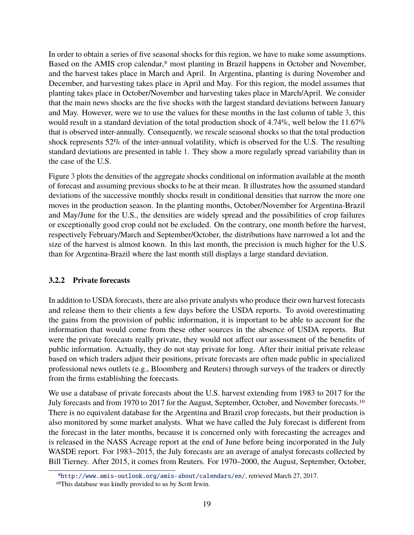In order to obtain a series of five seasonal shocks for this region, we have to make some assumptions. Based on the AMIS crop calendar,<sup>[9](#page-20-0)</sup> most planting in Brazil happens in October and November, and the harvest takes place in March and April. In Argentina, planting is during November and December, and harvesting takes place in April and May. For this region, the model assumes that planting takes place in October/November and harvesting takes place in March/April. We consider that the main news shocks are the five shocks with the largest standard deviations between January and May. However, were we to use the values for these months in the last column of table [3,](#page-18-0) this would result in a standard deviation of the total production shock of 4.74%, well below the 11.67% that is observed inter-annually. Consequently, we rescale seasonal shocks so that the total production shock represents 52% of the inter-annual volatility, which is observed for the U.S. The resulting standard deviations are presented in table [1.](#page-11-0) They show a more regularly spread variability than in the case of the U.S.

Figure [3](#page-21-0) plots the densities of the aggregate shocks conditional on information available at the month of forecast and assuming previous shocks to be at their mean. It illustrates how the assumed standard deviations of the successive monthly shocks result in conditional densities that narrow the more one moves in the production season. In the planting months, October/November for Argentina-Brazil and May/June for the U.S., the densities are widely spread and the possibilities of crop failures or exceptionally good crop could not be excluded. On the contrary, one month before the harvest, respectively February/March and September/October, the distributions have narrowed a lot and the size of the harvest is almost known. In this last month, the precision is much higher for the U.S. than for Argentina-Brazil where the last month still displays a large standard deviation.

#### <span id="page-20-2"></span>**3.2.2 Private forecasts**

In addition to USDA forecasts, there are also private analysts who produce their own harvest forecasts and release them to their clients a few days before the USDA reports. To avoid overestimating the gains from the provision of public information, it is important to be able to account for the information that would come from these other sources in the absence of USDA reports. But were the private forecasts really private, they would not affect our assessment of the benefits of public information. Actually, they do not stay private for long. After their initial private release based on which traders adjust their positions, private forecasts are often made public in specialized professional news outlets (e.g., Bloomberg and Reuters) through surveys of the traders or directly from the firms establishing the forecasts.

We use a database of private forecasts about the U.S. harvest extending from 1983 to 2017 for the July forecasts and from 1970 to 2017 for the August, September, October, and November forecasts.[10](#page-20-1) There is no equivalent database for the Argentina and Brazil crop forecasts, but their production is also monitored by some market analysts. What we have called the July forecast is different from the forecast in the later months, because it is concerned only with forecasting the acreages and is released in the NASS Acreage report at the end of June before being incorporated in the July WASDE report. For 1983–2015, the July forecasts are an average of analyst forecasts collected by Bill Tierney. After 2015, it comes from Reuters. For 1970–2000, the August, September, October,

<span id="page-20-0"></span><sup>9</sup><http://www.amis-outlook.org/amis-about/calendars/en/>, retrieved March 27, 2017.

<span id="page-20-1"></span><sup>10</sup>This database was kindly provided to us by Scott Irwin.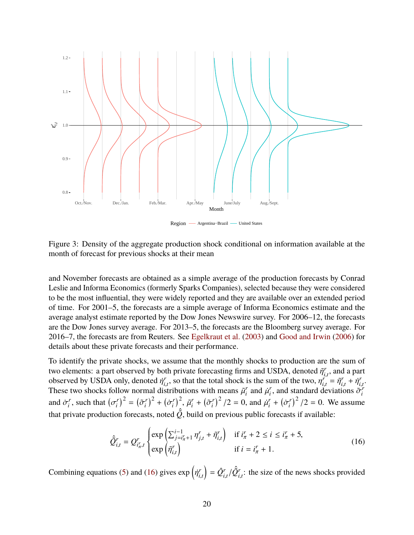<span id="page-21-0"></span>

Region — Argentina-Brazil — United States

Figure 3: Density of the aggregate production shock conditional on information available at the month of forecast for previous shocks at their mean

and November forecasts are obtained as a simple average of the production forecasts by Conrad Leslie and Informa Economics (formerly Sparks Companies), selected because they were considered to be the most influential, they were widely reported and they are available over an extended period of time. For 2001–5, the forecasts are a simple average of Informa Economics estimate and the average analyst estimate reported by the Dow Jones Newswire survey. For 2006–12, the forecasts are the Dow Jones survey average. For 2013–5, the forecasts are the Bloomberg survey average. For 2016–7, the forecasts are from Reuters. See [Egelkraut et al.](#page-37-17) [\(2003\)](#page-37-17) and [Good and Irwin](#page-38-11) [\(2006\)](#page-38-11) for details about these private forecasts and their performance.

To identify the private shocks, we assume that the monthly shocks to production are the sum of two elements: a part observed by both private forecasting firms and USDA, denoted  $\tilde{\eta}^r_{i,t}$ , and a part observed by USDA only denoted  $\tilde{\eta}^r$ , so that the total shock is the sum of the two  $n^r = \tilde{\eta}^r + \tilde{\eta}^r$ *i*,*t* observed by USDA only, denoted  $\eta_{i,t}^r$ , so that the total shock is the sum of the two,  $\eta_{i,t}^r$  observed by USDA only, denoted  $\eta_{i,t}^r$ , so that the total shock is the sum of the two,  $\eta_{i,t}^r$ .<br>These two  $\hat{f}_{i,t}$ , so that the total shock is the sum of the two,  $\eta_{i,t}^r$ <br>stributions with means  $\tilde{f}_t^r$  and  $\tilde{f}_t^r$  and standard d  $\tilde{\eta}^r_{i,t} = \tilde{\eta}^r_{i,t}$  $\vec{q}_{i,t}^r + \vec{\eta}_{i,t}^r$ *r*<br>i,t ·<br><del>r</del> These two shocks follow normal distributions with means  $\tilde{\mu}_i^r$  $\vec{u}_i^r$  and  $\vec{\mu}_i^r$ *i*, and standard deviations  $\tilde{\sigma}_i^r$ *i* and  $\dot{\sigma}_i^r$  $i^r$ , such that  $(\sigma_i^r)$ that private production forecasts, noted  $\hat{Q}$ , build on previous public forecasts if available:  $\left(\tilde{\sigma}_i^r\right)^2 = \left(\tilde{\sigma}_i^r\right)^2$  $(\dot{\sigma}_i^r)^2 + (\dot{\sigma}_i^r)^2$  $\left(\begin{matrix}r\\i\end{matrix}\right)^2$ ,  $\tilde{\mu}_i^r$  $\tilde{c}_i^r$  +  $(\tilde{\sigma}_i^r)$  $\left(\frac{r}{i}\right)^2/2 = 0$ , and  $\mu_i^r$  $i^r$  +  $(\dot{\sigma}_i^r)$  $\int_{i}^{r}$ )<sup>2</sup> /2 = 0. We assume

<span id="page-21-1"></span>
$$
\hat{\mathcal{Q}}_{i,t}^{r} = Q_{i_{\pi}^{r},t}^{r} \begin{cases} \exp\left(\sum_{j=i_{\pi}^{r}+1}^{i-1} \eta_{j,t}^{r} + \tilde{\eta}_{i,t}^{r}\right) & \text{if } i_{\pi}^{r} + 2 \leq i \leq i_{\pi}^{r} + 5, \\ \exp\left(\tilde{\eta}_{i,t}^{r}\right) & \text{if } i = i_{\pi}^{r} + 1. \end{cases}
$$
\n(16)

Combining equations [\(5\)](#page-8-0) and [\(16\)](#page-21-1) gives  $\exp\left(\eta_i^r\right)$ *i*,*t*  $\hat{Q}^r_i$  $\sum_{i,t}^r/\hat{Q}^r_{i,t}$  $\int_{i,t}^{r}$ : the size of the news shocks provided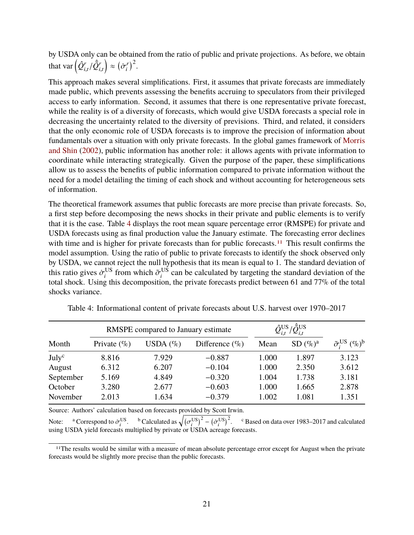by USDA only can be obtained from the ratio of public and private projections. As before, we obtain that var  $\left( \hat{Q}^r_i \right)$  $\sum_{i,t}^r/\hat{Q}_i^r$ *i*,*t*  $\Big) \approx \Big( \dot{\sigma}^r_i$  $\binom{r}{i}^2$ .

This approach makes several simplifications. First, it assumes that private forecasts are immediately made public, which prevents assessing the benefits accruing to speculators from their privileged access to early information. Second, it assumes that there is one representative private forecast, while the reality is of a diversity of forecasts, which would give USDA forecasts a special role in decreasing the uncertainty related to the diversity of previsions. Third, and related, it considers that the only economic role of USDA forecasts is to improve the precision of information about fundamentals over a situation with only private forecasts. In the global games framework of [Morris](#page-39-14) [and Shin](#page-39-14) [\(2002\)](#page-39-14), public information has another role: it allows agents with private information to coordinate while interacting strategically. Given the purpose of the paper, these simplifications allow us to assess the benefits of public information compared to private information without the need for a model detailing the timing of each shock and without accounting for heterogeneous sets of information.

The theoretical framework assumes that public forecasts are more precise than private forecasts. So, a first step before decomposing the news shocks in their private and public elements is to verify that it is the case. Table [4](#page-22-0) displays the root mean square percentage error (RMSPE) for private and USDA forecasts using as final production value the January estimate. The forecasting error declines with time and is higher for private forecasts than for public forecasts.<sup>[11](#page-22-1)</sup> This result confirms the model assumption. Using the ratio of public to private forecasts to identify the shock observed only by USDA, we cannot reject the null hypothesis that its mean is equal to 1. The standard deviation of this ratio gives  $\dot{\sigma}_i^{\text{US}}$ <br>total shock. Hsing the <sup>US</sup> from which  $\tilde{\sigma}_i^{\text{US}}$  $i$ <sup>US</sup> can be calculated by targeting the standard deviation of the total shock. Using this decomposition, the private forecasts predict between 61 and 77% of the total shocks variance.

|                   |                | RMSPE compared to January estimate |                    | $\hat{\mathcal{Q}}^{\text{US}}_{i,t} / \hat{\mathcal{Q}}^{\text{US}}_{i,t}$ |                    |                                                    |
|-------------------|----------------|------------------------------------|--------------------|-----------------------------------------------------------------------------|--------------------|----------------------------------------------------|
| Month             | Private $(\%)$ | USDA $(\%)$                        | Difference $(\% )$ | Mean                                                                        | SD(%) <sup>a</sup> | $\tilde{\sigma}_{i}^{\text{US}}$ $(\%)^{\text{b}}$ |
| July <sup>c</sup> | 8.816          | 7.929                              | $-0.887$           | 1.000                                                                       | 1.897              | 3.123                                              |
| August            | 6.312          | 6.207                              | $-0.104$           | 1.000                                                                       | 2.350              | 3.612                                              |
| September         | 5.169          | 4.849                              | $-0.320$           | 1.004                                                                       | 1.738              | 3.181                                              |
| October           | 3.280          | 2.677                              | $-0.603$           | 1.000                                                                       | 1.665              | 2.878                                              |
| November          | 2.013          | 1.634                              | $-0.379$           | 1.002                                                                       | 1.081              | 1.351                                              |

<span id="page-22-0"></span>Table 4: Informational content of private forecasts about U.S. harvest over 1970–2017

Source: Authors' calculation based on forecasts provided by Scott Irwin.

Note: <sup>a</sup> Correspond to  $\dot{\sigma}_i^{\text{US}}$ . <sup>b</sup> Calculated as  $\sqrt{(\sigma_i^{\text{US}})^2 - (\dot{\sigma}_i^{\text{US}})^2}$ . <sup>c</sup> Based on data over 1983–2017 and calculated using HSDA vield forecasts multiplied by private or HSDA acreage forecasts. using USDA yield forecasts multiplied by private or USDA acreage forecasts.

<span id="page-22-1"></span><sup>&</sup>lt;sup>11</sup>The results would be similar with a measure of mean absolute percentage error except for August when the private forecasts would be slightly more precise than the public forecasts.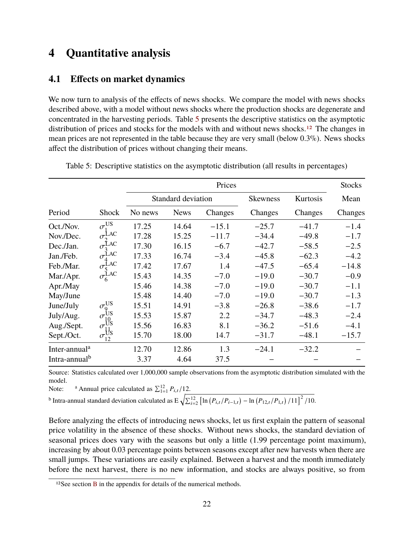## <span id="page-23-0"></span>**4 Quantitative analysis**

## **4.1 Effects on market dynamics**

We now turn to analysis of the effects of news shocks. We compare the model with news shocks described above, with a model without news shocks where the production shocks are degenerate and concentrated in the harvesting periods. Table [5](#page-23-1) presents the descriptive statistics on the asymptotic distribution of prices and stocks for the models with and without news shocks.<sup>[12](#page-23-2)</sup> The changes in mean prices are not represented in the table because they are very small (below 0.3%). News shocks affect the distribution of prices without changing their means.

|                           |                                                    |         |                    | Prices  |                 |          | <b>Stocks</b> |
|---------------------------|----------------------------------------------------|---------|--------------------|---------|-----------------|----------|---------------|
|                           |                                                    |         | Standard deviation |         | <b>Skewness</b> | Kurtosis | Mean          |
| Period                    | <b>Shock</b>                                       | No news | <b>News</b>        | Changes | Changes         | Changes  | Changes       |
| Oct./Nov.                 | $\sigma^{\text{US}}$                               | 17.25   | 14.64              | $-15.1$ | $-25.7$         | $-41.7$  | $-1.4$        |
| Nov./Dec.                 | $\sigma$ <sup>LAC</sup>                            | 17.28   | 15.25              | $-11.7$ | $-34.4$         | $-49.8$  | $-1.7$        |
| Dec./Jan.                 | $\sigma^{\text{LAC}}$                              | 17.30   | 16.15              | $-6.7$  | $-42.7$         | $-58.5$  | $-2.5$        |
| Jan./Feb.                 | $\sigma^{\text{LAC}}$                              | 17.33   | 16.74              | $-3.4$  | $-45.8$         | $-62.3$  | $-4.2$        |
| Feb./Mar.                 |                                                    | 17.42   | 17.67              | 1.4     | $-47.5$         | $-65.4$  | $-14.8$       |
| Mar./Apr.                 | $\sigma_5^{\text{LAC}}$<br>$\sigma_6^{\text{LAC}}$ | 15.43   | 14.35              | $-7.0$  | $-19.0$         | $-30.7$  | $-0.9$        |
| Apr./May                  |                                                    | 15.46   | 14.38              | $-7.0$  | $-19.0$         | $-30.7$  | $-1.1$        |
| May/June                  |                                                    | 15.48   | 14.40              | $-7.0$  | $-19.0$         | $-30.7$  | $-1.3$        |
| June/July                 | $\sigma^{\text{US}}_9$                             | 15.51   | 14.91              | $-3.8$  | $-26.8$         | $-38.6$  | $-1.7$        |
| July/Aug.                 | $\sigma^{\text{US}}$                               | 15.53   | 15.87              | 2.2     | $-34.7$         | $-48.3$  | $-2.4$        |
| Aug./Sept.                | $\sigma_{11}^{10}$                                 | 15.56   | 16.83              | 8.1     | $-36.2$         | $-51.6$  | $-4.1$        |
| Sept./Oct.                | $\sigma_{12}^{\text{tfs}}$                         | 15.70   | 18.00              | 14.7    | $-31.7$         | $-48.1$  | $-15.7$       |
| Inter-annual <sup>a</sup> |                                                    | 12.70   | 12.86              | 1.3     | $-24.1$         | $-32.2$  |               |
| Intra-annual <sup>b</sup> |                                                    | 3.37    | 4.64               | 37.5    |                 |          |               |

<span id="page-23-1"></span>Table 5: Descriptive statistics on the asymptotic distribution (all results in percentages)

Source: Statistics calculated over 1,000,000 sample observations from the asymptotic distribution simulated with the model.

Note: <sup>a</sup> Annual price calculated as  $\sum_{1=1}^{12} P_{i,t}/12$ .<br><sup>b</sup> Intra-annual standard deviation calculated as  $E \sqrt{\sum_{i=2}^{12} [\ln (P_{i,t}/P_{i-1,t}) - \ln (P_{12,t}/P_{1,t}) /11]^2 /10}$ .

Before analyzing the effects of introducing news shocks, let us first explain the pattern of seasonal price volatility in the absence of these shocks. Without news shocks, the standard deviation of seasonal prices does vary with the seasons but only a little (1.99 percentage point maximum), increasing by about 0.03 percentage points between seasons except after new harvests when there are small jumps. These variations are easily explained. Between a harvest and the month immediately before the next harvest, there is no new information, and stocks are always positive, so from

<span id="page-23-2"></span><sup>12</sup>See section [B](#page-33-1) in the appendix for details of the numerical methods.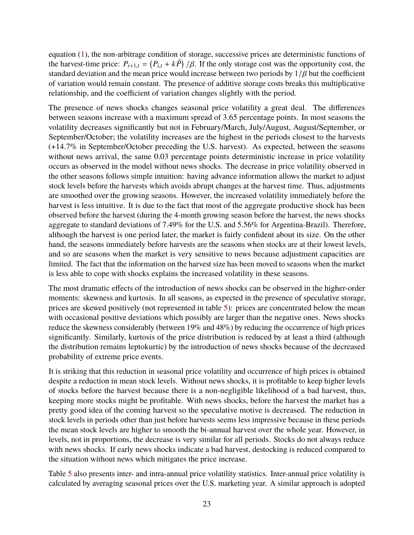equation [\(1\)](#page-6-0), the non-arbitrage condition of storage, successive prices are deterministic functions of the harvest-time price:  $P_{i+1,t} = (P_{i,t} + k\bar{P})/\beta$ . If the only storage cost was the opportunity cost, the standard deviation and the mean price would increase between two periods by 1/8 but the coefficient standard deviation and the mean price would increase between two periods by  $1/\beta$  but the coefficient of variation would remain constant. The presence of additive storage costs breaks this multiplicative relationship, and the coefficient of variation changes slightly with the period.

The presence of news shocks changes seasonal price volatility a great deal. The differences between seasons increase with a maximum spread of 3.65 percentage points. In most seasons the volatility decreases significantly but not in February/March, July/August, August/September, or September/October; the volatility increases are the highest in the periods closest to the harvests (+14.7% in September/October preceding the U.S. harvest). As expected, between the seasons without news arrival, the same 0.03 percentage points deterministic increase in price volatility occurs as observed in the model without news shocks. The decrease in price volatility observed in the other seasons follows simple intuition: having advance information allows the market to adjust stock levels before the harvests which avoids abrupt changes at the harvest time. Thus, adjustments are smoothed over the growing seasons. However, the increased volatility immediately before the harvest is less intuitive. It is due to the fact that most of the aggregate productive shock has been observed before the harvest (during the 4-month growing season before the harvest, the news shocks aggregate to standard deviations of 7.49% for the U.S. and 5.56% for Argentina-Brazil). Therefore, although the harvest is one period later, the market is fairly confident about its size. On the other hand, the seasons immediately before harvests are the seasons when stocks are at their lowest levels, and so are seasons when the market is very sensitive to news because adjustment capacities are limited. The fact that the information on the harvest size has been moved to seasons when the market is less able to cope with shocks explains the increased volatility in these seasons.

The most dramatic effects of the introduction of news shocks can be observed in the higher-order moments: skewness and kurtosis. In all seasons, as expected in the presence of speculative storage, prices are skewed positively (not represented in table [5\)](#page-23-1): prices are concentrated below the mean with occasional positive deviations which possibly are larger than the negative ones. News shocks reduce the skewness considerably (between 19% and 48%) by reducing the occurrence of high prices significantly. Similarly, kurtosis of the price distribution is reduced by at least a third (although the distribution remains leptokurtic) by the introduction of news shocks because of the decreased probability of extreme price events.

It is striking that this reduction in seasonal price volatility and occurrence of high prices is obtained despite a reduction in mean stock levels. Without news shocks, it is profitable to keep higher levels of stocks before the harvest because there is a non-negligible likelihood of a bad harvest, thus, keeping more stocks might be profitable. With news shocks, before the harvest the market has a pretty good idea of the coming harvest so the speculative motive is decreased. The reduction in stock levels in periods other than just before harvests seems less impressive because in these periods the mean stock levels are higher to smooth the bi-annual harvest over the whole year. However, in levels, not in proportions, the decrease is very similar for all periods. Stocks do not always reduce with news shocks. If early news shocks indicate a bad harvest, destocking is reduced compared to the situation without news which mitigates the price increase.

Table [5](#page-23-1) also presents inter- and intra-annual price volatility statistics. Inter-annual price volatility is calculated by averaging seasonal prices over the U.S. marketing year. A similar approach is adopted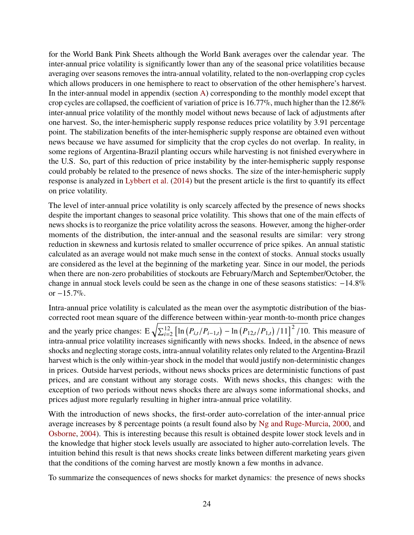for the World Bank Pink Sheets although the World Bank averages over the calendar year. The inter-annual price volatility is significantly lower than any of the seasonal price volatilities because averaging over seasons removes the intra-annual volatility, related to the non-overlapping crop cycles which allows producers in one hemisphere to react to observation of the other hemisphere's harvest. In the inter-annual model in appendix (section [A\)](#page-33-0) corresponding to the monthly model except that crop cycles are collapsed, the coefficient of variation of price is  $16.77\%$ , much higher than the  $12.86\%$ inter-annual price volatility of the monthly model without news because of lack of adjustments after one harvest. So, the inter-hemispheric supply response reduces price volatility by 3.91 percentage point. The stabilization benefits of the inter-hemispheric supply response are obtained even without news because we have assumed for simplicity that the crop cycles do not overlap. In reality, in some regions of Argentina-Brazil planting occurs while harvesting is not finished everywhere in the U.S. So, part of this reduction of price instability by the inter-hemispheric supply response could probably be related to the presence of news shocks. The size of the inter-hemispheric supply response is analyzed in [Lybbert et al.](#page-39-15) [\(2014\)](#page-39-15) but the present article is the first to quantify its effect on price volatility.

The level of inter-annual price volatility is only scarcely affected by the presence of news shocks despite the important changes to seasonal price volatility. This shows that one of the main effects of news shocks is to reorganize the price volatility across the seasons. However, among the higher-order moments of the distribution, the inter-annual and the seasonal results are similar: very strong reduction in skewness and kurtosis related to smaller occurrence of price spikes. An annual statistic calculated as an average would not make much sense in the context of stocks. Annual stocks usually are considered as the level at the beginning of the marketing year. Since in our model, the periods when there are non-zero probabilities of stockouts are February/March and September/October, the change in annual stock levels could be seen as the change in one of these seasons statistics: <sup>−</sup>14.8% or <sup>−</sup>15.7%.

Intra-annual price volatility is calculated as the mean over the asymptotic distribution of the biascorrected root mean square of the difference between within-year month-to-month price changes and the yearly price changes:  $E \sqrt{\sum_{i=2}^{12} [\ln (P_{i,t}/P_{i-1,t}) - \ln (P_{12,t}/P_{1,t})/11]^2/10}$ . This measure of intra-annual price volatility increases significantly with news shocks. Indeed, in the absence of news shocks and neglecting storage costs, intra-annual volatility relates only related to the Argentina-Brazil harvest which is the only within-year shock in the model that would justify non-deterministic changes in prices. Outside harvest periods, without news shocks prices are deterministic functions of past prices, and are constant without any storage costs. With news shocks, this changes: with the exception of two periods without news shocks there are always some informational shocks, and prices adjust more regularly resulting in higher intra-annual price volatility.

With the introduction of news shocks, the first-order auto-correlation of the inter-annual price average increases by 8 percentage points (a result found also by [Ng and Ruge-Murcia,](#page-39-3) [2000,](#page-39-3) and [Osborne,](#page-39-4) [2004\)](#page-39-4). This is interesting because this result is obtained despite lower stock levels and in the knowledge that higher stock levels usually are associated to higher auto-correlation levels. The intuition behind this result is that news shocks create links between different marketing years given that the conditions of the coming harvest are mostly known a few months in advance.

To summarize the consequences of news shocks for market dynamics: the presence of news shocks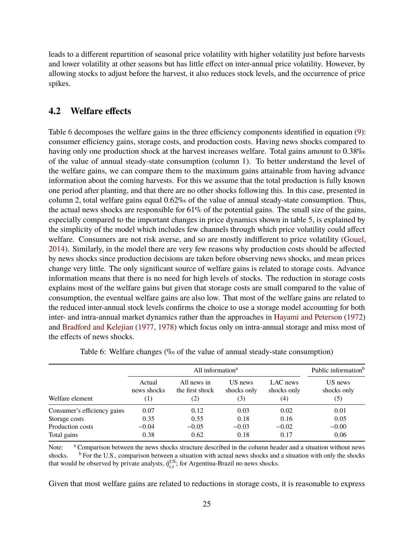leads to a different repartition of seasonal price volatility with higher volatility just before harvests and lower volatility at other seasons but has little effect on inter-annual price volatility. However, by allowing stocks to adjust before the harvest, it also reduces stock levels, and the occurrence of price spikes.

### **4.2 Welfare effects**

Table [6](#page-26-0) decomposes the welfare gains in the three efficiency components identified in equation [\(9\)](#page-9-1): consumer efficiency gains, storage costs, and production costs. Having news shocks compared to having only one production shock at the harvest increases welfare. Total gains amount to 0.38‰ of the value of annual steady-state consumption (column 1). To better understand the level of the welfare gains, we can compare them to the maximum gains attainable from having advance information about the coming harvests. For this we assume that the total production is fully known one period after planting, and that there are no other shocks following this. In this case, presented in column 2, total welfare gains equal 0.62‰ of the value of annual steady-state consumption. Thus, the actual news shocks are responsible for  $61\%$  of the potential gains. The small size of the gains, especially compared to the important changes in price dynamics shown in table [5,](#page-23-1) is explained by the simplicity of the model which includes few channels through which price volatility could affect welfare. Consumers are not risk averse, and so are mostly indifferent to price volatility [\(Gouel,](#page-38-14) [2014\)](#page-38-14). Similarly, in the model there are very few reasons why production costs should be affected by news shocks since production decisions are taken before observing news shocks, and mean prices change very little. The only significant source of welfare gains is related to storage costs. Advance information means that there is no need for high levels of stocks. The reduction in storage costs explains most of the welfare gains but given that storage costs are small compared to the value of consumption, the eventual welfare gains are also low. That most of the welfare gains are related to the reduced inter-annual stock levels confirms the choice to use a storage model accounting for both inter- and intra-annual market dynamics rather than the approaches in [Hayami and Peterson](#page-38-0) [\(1972\)](#page-38-0) and [Bradford and Kelejian](#page-37-1) [\(1977,](#page-37-1) [1978\)](#page-37-2) which focus only on intra-annual storage and miss most of the effects of news shocks.

<span id="page-26-0"></span>

|                             |                              |                                       | Public information <sup>b</sup><br>All information <sup>a</sup> |                                |                               |  |  |  |
|-----------------------------|------------------------------|---------------------------------------|-----------------------------------------------------------------|--------------------------------|-------------------------------|--|--|--|
| Welfare element             | Actual<br>news shocks<br>(1) | All news in<br>the first shock<br>(2) | US news<br>shocks only<br>(3)                                   | LAC news<br>shocks only<br>(4) | US news<br>shocks only<br>(5) |  |  |  |
| Consumer's efficiency gains | 0.07                         | 0.12                                  | 0.03                                                            | 0.02                           | 0.01                          |  |  |  |
| Storage costs               | 0.35                         | 0.55                                  | 0.18                                                            | 0.16                           | 0.05                          |  |  |  |
| Production costs            | $-0.04$                      | $-0.05$                               | $-0.03$                                                         | $-0.02$                        | $-0.00$                       |  |  |  |
| Total gains                 | 0.38                         | 0.62                                  | 0.18                                                            | 0.17                           | 0.06                          |  |  |  |

|  |  |  | Table 6: Welfare changes (‰ of the value of annual steady-state consumption) |  |
|--|--|--|------------------------------------------------------------------------------|--|
|  |  |  |                                                                              |  |

Note: <sup>a</sup> Comparison between the news shocks structure described in the column header and a situation without news shocks. <sup>b</sup> For the U.S., comparison between a situation with actual news shocks and a situation with only the shocks that would be observed by private analysts,  $\tilde{\eta}_{i,t}^{\text{US}}$ ; for Argentina-Brazil no news shocks.

Given that most welfare gains are related to reductions in storage costs, it is reasonable to express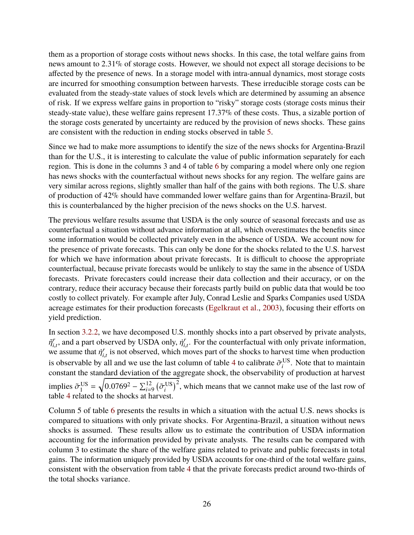them as a proportion of storage costs without news shocks. In this case, the total welfare gains from news amount to 2.31% of storage costs. However, we should not expect all storage decisions to be affected by the presence of news. In a storage model with intra-annual dynamics, most storage costs are incurred for smoothing consumption between harvests. These irreducible storage costs can be evaluated from the steady-state values of stock levels which are determined by assuming an absence of risk. If we express welfare gains in proportion to "risky" storage costs (storage costs minus their steady-state value), these welfare gains represent 17.37% of these costs. Thus, a sizable portion of the storage costs generated by uncertainty are reduced by the provision of news shocks. These gains are consistent with the reduction in ending stocks observed in table [5.](#page-23-1)

Since we had to make more assumptions to identify the size of the news shocks for Argentina-Brazil than for the U.S., it is interesting to calculate the value of public information separately for each region. This is done in the columns 3 and 4 of table [6](#page-26-0) by comparing a model where only one region has news shocks with the counterfactual without news shocks for any region. The welfare gains are very similar across regions, slightly smaller than half of the gains with both regions. The U.S. share of production of 42% should have commanded lower welfare gains than for Argentina-Brazil, but this is counterbalanced by the higher precision of the news shocks on the U.S. harvest.

The previous welfare results assume that USDA is the only source of seasonal forecasts and use as counterfactual a situation without advance information at all, which overestimates the benefits since some information would be collected privately even in the absence of USDA. We account now for the presence of private forecasts. This can only be done for the shocks related to the U.S. harvest for which we have information about private forecasts. It is difficult to choose the appropriate counterfactual, because private forecasts would be unlikely to stay the same in the absence of USDA forecasts. Private forecasters could increase their data collection and their accuracy, or on the contrary, reduce their accuracy because their forecasts partly build on public data that would be too costly to collect privately. For example after July, Conrad Leslie and Sparks Companies used USDA acreage estimates for their production forecasts [\(Egelkraut et al.,](#page-37-17) [2003\)](#page-37-17), focusing their efforts on yield prediction.

In section [3.2.2,](#page-20-2) we have decomposed U.S. monthly shocks into a part observed by private analysts,  $\tilde{\eta}^r_{i, \sigma}$  $\hat{r}_{i,t}$ , and a part observed by USDA only,  $\hat{\eta}_{i,t}^r$  assume that  $\hat{\eta}_{i,t}^r$  is not observed, which n  $I_{i,t}$ . For the counterfactual with only private information, moves part of the shocks to harvest time when production we assume that  $\eta_{i,t}^r$  is not observed, which moves part of the shocks to harvest time when production<br>is absentuable by all and we use the last salves of table 4 to salibrate.  $\tilde{\tau}^{US}$ . Note that to maintain *i*,*t* is observable by all and we use the last column of table [4](#page-22-0) to calibrate  $\tilde{\sigma}_i^{\text{US}}$ <br>constant the standard deviation of the aggregate shock, the observability of  $i$ <sup>US</sup>. Note that to maintain constant the standard deviation of the aggregate shock, the observability of production at harvest implies  $\tilde{\sigma}_1^{\text{US}}$ <sup>US</sup><sub>1</sub> =  $\sqrt{0.0769^2 - \sum_{i=9}^{12} (\tilde{\sigma}_i^{\text{US}})}$  $\binom{[US]}{[X]}$ , which means that we cannot make use of the last row of table [4](#page-22-0) related to the shocks at harvest.

Column 5 of table [6](#page-26-0) presents the results in which a situation with the actual U.S. news shocks is compared to situations with only private shocks. For Argentina-Brazil, a situation without news shocks is assumed. These results allow us to estimate the contribution of USDA information accounting for the information provided by private analysts. The results can be compared with column 3 to estimate the share of the welfare gains related to private and public forecasts in total gains. The information uniquely provided by USDA accounts for one-third of the total welfare gains, consistent with the observation from table [4](#page-22-0) that the private forecasts predict around two-thirds of the total shocks variance.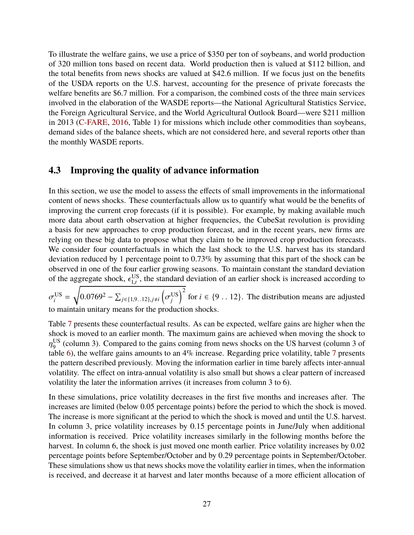To illustrate the welfare gains, we use a price of \$350 per ton of soybeans, and world production of 320 million tons based on recent data. World production then is valued at \$112 billion, and the total benefits from news shocks are valued at \$42.6 million. If we focus just on the benefits of the USDA reports on the U.S. harvest, accounting for the presence of private forecasts the welfare benefits are \$6.7 million. For a comparison, the combined costs of the three main services involved in the elaboration of the WASDE reports—the National Agricultural Statistics Service, the Foreign Agricultural Service, and the World Agricultural Outlook Board—were \$211 million in 2013 [\(C-FARE,](#page-37-0) [2016,](#page-37-0) Table 1) for missions which include other commodities than soybeans, demand sides of the balance sheets, which are not considered here, and several reports other than the monthly WASDE reports.

### **4.3 Improving the quality of advance information**

In this section, we use the model to assess the effects of small improvements in the informational content of news shocks. These counterfactuals allow us to quantify what would be the benefits of improving the current crop forecasts (if it is possible). For example, by making available much more data about earth observation at higher frequencies, the CubeSat revolution is providing a basis for new approaches to crop production forecast, and in the recent years, new firms are relying on these big data to propose what they claim to be improved crop production forecasts. We consider four counterfactuals in which the last shock to the U.S. harvest has its standard deviation reduced by 1 percentage point to 0.73% by assuming that this part of the shock can be observed in one of the four earlier growing seasons. To maintain constant the standard deviation of the aggregate shock,  $\epsilon_{1,t}^{\text{US}}$ <sup>US</sup>, the standard deviation of an earlier shock is increased according to <sup>r</sup>

ັi<br>ເ US  $i$ <sup>US</sup> =  $0.0769^2 - \sum_{j \in \{1, 9, .12\}, j \neq i}$ ĺ σ US *j*  $\int_{1}^{2}$  for *i*  $\in$  {9 . . 12}. The distribution means are adjusted to maintain unitary means for the production shocks.

Table [7](#page-29-0) presents these counterfactual results. As can be expected, welfare gains are higher when the shock is moved to an earlier month. The maximum gains are achieved when moving the shock to table [6\)](#page-26-0), the welfare gains amounts to an 4% increase. Regarding price volatility, table [7](#page-29-0) presents US  $^{10S}_{9}$  (column 3). Compared to the gains coming from news shocks on the US harvest (column 3 of the pattern described previously. Moving the information earlier in time barely affects inter-annual volatility. The effect on intra-annual volatility is also small but shows a clear pattern of increased volatility the later the information arrives (it increases from column 3 to 6).

In these simulations, price volatility decreases in the first five months and increases after. The increases are limited (below 0.05 percentage points) before the period to which the shock is moved. The increase is more significant at the period to which the shock is moved and until the U.S. harvest. In column 3, price volatility increases by 0.15 percentage points in June/July when additional information is received. Price volatility increases similarly in the following months before the harvest. In column 6, the shock is just moved one month earlier. Price volatility increases by 0.02 percentage points before September/October and by 0.29 percentage points in September/October. These simulations show us that news shocks move the volatility earlier in times, when the information is received, and decrease it at harvest and later months because of a more efficient allocation of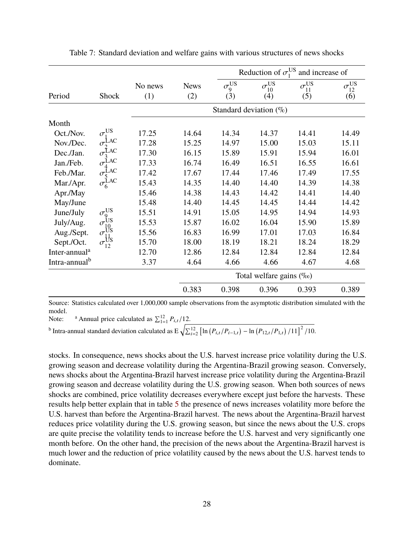<span id="page-29-0"></span>

|                           |                                                                                                           |                |                    |                          |                                  | Reduction of $\sigma_1^{\text{US}}$ and increase of |                           |  |  |
|---------------------------|-----------------------------------------------------------------------------------------------------------|----------------|--------------------|--------------------------|----------------------------------|-----------------------------------------------------|---------------------------|--|--|
| Period                    | <b>Shock</b>                                                                                              | No news<br>(1) | <b>News</b><br>(2) | $\sigma_{9}^{US}$<br>(3) | $\sigma_{10}^{\text{US}}$<br>(4) | $\sigma_{11}^{\text{US}}$<br>(5)                    | $\sigma_{12}^{US}$<br>(6) |  |  |
|                           |                                                                                                           |                |                    |                          | Standard deviation $(\% )$       |                                                     |                           |  |  |
| Month                     |                                                                                                           |                |                    |                          |                                  |                                                     |                           |  |  |
| Oct./Nov.                 | $\sigma_1^{\text{US}}$                                                                                    | 17.25          | 14.64              | 14.34                    | 14.37                            | 14.41                                               | 14.49                     |  |  |
| Nov./Dec.                 | $\sigma_2^{\text{LAC}}$                                                                                   | 17.28          | 15.25              | 14.97                    | 15.00                            | 15.03                                               | 15.11                     |  |  |
| Dec./Jan.                 | $\sigma_3^{\text{LAC}}$                                                                                   | 17.30          | 16.15              | 15.89                    | 15.91                            | 15.94                                               | 16.01                     |  |  |
| Jan./Feb.                 |                                                                                                           | 17.33          | 16.74              | 16.49                    | 16.51                            | 16.55                                               | 16.61                     |  |  |
| Feb./Mar.                 |                                                                                                           | 17.42          | 17.67              | 17.44                    | 17.46                            | 17.49                                               | 17.55                     |  |  |
| Mar./Apr.                 | $\sigma_5^{\text{LAC}}$<br>$\sigma_6^{\text{LAC}}$                                                        | 15.43          | 14.35              | 14.40                    | 14.40                            | 14.39                                               | 14.38                     |  |  |
| Apr./May                  |                                                                                                           | 15.46          | 14.38              | 14.43                    | 14.42                            | 14.41                                               | 14.40                     |  |  |
| May/June                  |                                                                                                           | 15.48          | 14.40              | 14.45                    | 14.45                            | 14.44                                               | 14.42                     |  |  |
| June/July                 |                                                                                                           | 15.51          | 14.91              | 15.05                    | 14.95                            | 14.94                                               | 14.93                     |  |  |
| July/Aug.                 | $\begin{array}{c}\n\sigma_9^{\text{US}}\\ \sigma_{10}^{\text{US}}\\ \sigma_{11}^{\text{US}}\n\end{array}$ | 15.53          | 15.87              | 16.02                    | 16.04                            | 15.90                                               | 15.89                     |  |  |
| Aug./Sept.                |                                                                                                           | 15.56          | 16.83              | 16.99                    | 17.01                            | 17.03                                               | 16.84                     |  |  |
| Sept./Oct.                | $\sigma_{12}^{\text{U}_\text{S}}$                                                                         | 15.70          | 18.00              | 18.19                    | 18.21                            | 18.24                                               | 18.29                     |  |  |
| Inter-annual <sup>a</sup> |                                                                                                           | 12.70          | 12.86              | 12.84                    | 12.84                            | 12.84                                               | 12.84                     |  |  |
| Intra-annual <sup>b</sup> |                                                                                                           | 3.37           | 4.64               | 4.66                     | 4.66                             | 4.67                                                | 4.68                      |  |  |
|                           |                                                                                                           |                |                    |                          | Total welfare gains (%o)         |                                                     |                           |  |  |
|                           |                                                                                                           |                | 0.383              | 0.398                    | 0.396                            | 0.393                                               | 0.389                     |  |  |

Table 7: Standard deviation and welfare gains with various structures of news shocks

Source: Statistics calculated over 1,000,000 sample observations from the asymptotic distribution simulated with the model.

Note: <sup>a</sup> Annual price calculated as  $\sum_{1=1}^{12} P_{i,t}/12$ .<br><sup>b</sup> Intra-annual standard deviation calculated as  $E \sqrt{\sum_{i=2}^{12} [\ln (P_{i,t}/P_{i-1,t}) - \ln (P_{12,t}/P_{1,t}) /11]^2 /10}$ .

stocks. In consequence, news shocks about the U.S. harvest increase price volatility during the U.S. growing season and decrease volatility during the Argentina-Brazil growing season. Conversely, news shocks about the Argentina-Brazil harvest increase price volatility during the Argentina-Brazil growing season and decrease volatility during the U.S. growing season. When both sources of news shocks are combined, price volatility decreases everywhere except just before the harvests. These results help better explain that in table [5](#page-23-1) the presence of news increases volatility more before the U.S. harvest than before the Argentina-Brazil harvest. The news about the Argentina-Brazil harvest reduces price volatility during the U.S. growing season, but since the news about the U.S. crops are quite precise the volatility tends to increase before the U.S. harvest and very significantly one month before. On the other hand, the precision of the news about the Argentina-Brazil harvest is much lower and the reduction of price volatility caused by the news about the U.S. harvest tends to dominate.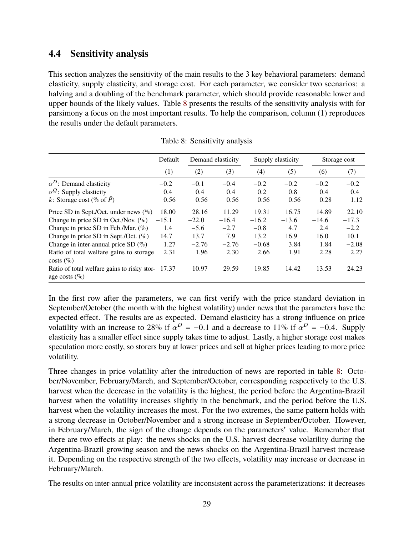## **4.4 Sensitivity analysis**

This section analyzes the sensitivity of the main results to the 3 key behavioral parameters: demand elasticity, supply elasticity, and storage cost. For each parameter, we consider two scenarios: a halving and a doubling of the benchmark parameter, which should provide reasonable lower and upper bounds of the likely values. Table [8](#page-30-0) presents the results of the sensitivity analysis with for parsimony a focus on the most important results. To help the comparison, column (1) reproduces the results under the default parameters.

<span id="page-30-0"></span>

|                                                                 | Default |         | Demand elasticity |         | Supply elasticity | Storage cost |         |
|-----------------------------------------------------------------|---------|---------|-------------------|---------|-------------------|--------------|---------|
|                                                                 | (1)     | (2)     | (3)               | (4)     | (5)               | (6)          | (7)     |
| $\alpha^D$ : Demand elasticity                                  | $-0.2$  | $-0.1$  | $-0.4$            | $-0.2$  | $-0.2$            | $-0.2$       | $-0.2$  |
| $\alpha^{\mathcal{Q}}$ : Supply elasticity                      | 0.4     | 0.4     | 0.4               | 0.2     | 0.8               | 0.4          | 0.4     |
| k: Storage cost (% of $\overline{P}$ )                          | 0.56    | 0.56    | 0.56              | 0.56    | 0.56              | 0.28         | 1.12    |
| Price SD in Sept./Oct. under news $(\%)$                        | 18.00   | 28.16   | 11.29             | 19.31   | 16.75             | 14.89        | 22.10   |
| Change in price SD in Oct./Nov. $(\%)$                          | $-15.1$ | $-22.0$ | $-16.4$           | $-16.2$ | $-13.6$           | $-14.6$      | $-17.3$ |
| Change in price SD in Feb./Mar. $(\%)$                          | 1.4     | $-5.6$  | $-2.7$            | $-0.8$  | 4.7               | 2.4          | $-2.2$  |
| Change in price SD in Sept./Oct. $(\%)$                         | 14.7    | 13.7    | 7.9               | 13.2    | 16.9              | 16.0         | 10.1    |
| Change in inter-annual price SD $(\%)$                          | 1.27    | $-2.76$ | $-2.76$           | $-0.68$ | 3.84              | 1.84         | $-2.08$ |
| Ratio of total welfare gains to storage<br>$costs$ (%)          | 2.31    | 1.96    | 2.30              | 2.66    | 1.91              | 2.28         | 2.27    |
| Ratio of total welfare gains to risky stor-<br>age costs $(\%)$ | 17.37   | 10.97   | 29.59             | 19.85   | 14.42             | 13.53        | 24.23   |

Table 8: Sensitivity analysis

In the first row after the parameters, we can first verify with the price standard deviation in September/October (the month with the highest volatility) under news that the parameters have the expected effect. The results are as expected. Demand elasticity has a strong influence on price volatility with an increase to 28% if  $\alpha^D = -0.1$  and a decrease to 11% if  $\alpha^D = -0.4$ . Supply<br>elasticity has a smaller effect since supply takes time to adjust. Lastly, a higher storage cost makes elasticity has a smaller effect since supply takes time to adjust. Lastly, a higher storage cost makes speculation more costly, so storers buy at lower prices and sell at higher prices leading to more price volatility.

Three changes in price volatility after the introduction of news are reported in table [8:](#page-30-0) October/November, February/March, and September/October, corresponding respectively to the U.S. harvest when the decrease in the volatility is the highest, the period before the Argentina-Brazil harvest when the volatility increases slightly in the benchmark, and the period before the U.S. harvest when the volatility increases the most. For the two extremes, the same pattern holds with a strong decrease in October/November and a strong increase in September/October. However, in February/March, the sign of the change depends on the parameters' value. Remember that there are two effects at play: the news shocks on the U.S. harvest decrease volatility during the Argentina-Brazil growing season and the news shocks on the Argentina-Brazil harvest increase it. Depending on the respective strength of the two effects, volatility may increase or decrease in February/March.

The results on inter-annual price volatility are inconsistent across the parameterizations: it decreases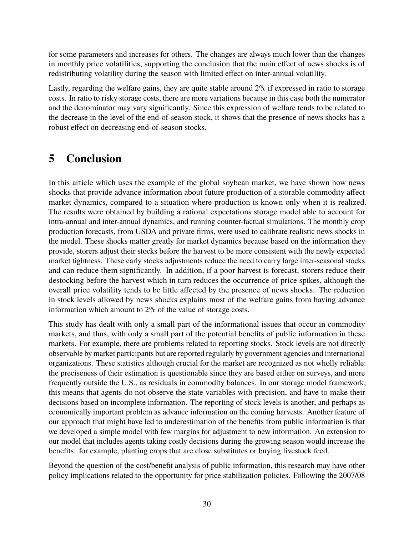for some parameters and increases for others. The changes are always much lower than the changes in monthly price volatilities, supporting the conclusion that the main effect of news shocks is of redistributing volatility during the season with limited effect on inter-annual volatility.

Lastly, regarding the welfare gains, they are quite stable around 2% if expressed in ratio to storage costs. In ratio to risky storage costs, there are more variations because in this case both the numerator and the denominator may vary significantly. Since this expression of welfare tends to be related to the decrease in the level of the end-of-season stock, it shows that the presence of news shocks has a robust effect on decreasing end-of-season stocks.

## <span id="page-31-0"></span>**5 Conclusion**

In this article which uses the example of the global soybean market, we have shown how news shocks that provide advance information about future production of a storable commodity affect market dynamics, compared to a situation where production is known only when it is realized. The results were obtained by building a rational expectations storage model able to account for intra-annual and inter-annual dynamics, and running counter-factual simulations. The monthly crop production forecasts, from USDA and private firms, were used to calibrate realistic news shocks in the model. These shocks matter greatly for market dynamics because based on the information they provide, storers adjust their stocks before the harvest to be more consistent with the newly expected market tightness. These early stocks adjustments reduce the need to carry large inter-seasonal stocks and can reduce them significantly. In addition, if a poor harvest is forecast, storers reduce their destocking before the harvest which in turn reduces the occurrence of price spikes, although the overall price volatility tends to be little affected by the presence of news shocks. The reduction in stock levels allowed by news shocks explains most of the welfare gains from having advance information which amount to 2% of the value of storage costs.

This study has dealt with only a small part of the informational issues that occur in commodity markets, and thus, with only a small part of the potential benefits of public information in these markets. For example, there are problems related to reporting stocks. Stock levels are not directly observable by market participants but are reported regularly by government agencies and international organizations. These statistics although crucial for the market are recognized as not wholly reliable: the preciseness of their estimation is questionable since they are based either on surveys, and more frequently outside the U.S., as residuals in commodity balances. In our storage model framework, this means that agents do not observe the state variables with precision, and have to make their decisions based on incomplete information. The reporting of stock levels is another, and perhaps as economically important problem as advance information on the coming harvests. Another feature of our approach that might have led to underestimation of the benefits from public information is that we developed a simple model with few margins for adjustment to new information. An extension to our model that includes agents taking costly decisions during the growing season would increase the benefits: for example, planting crops that are close substitutes or buying livestock feed.

Beyond the question of the cost/benefit analysis of public information, this research may have other policy implications related to the opportunity for price stabilization policies. Following the 2007/08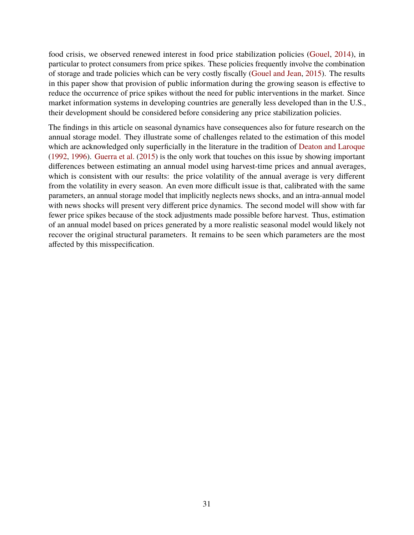food crisis, we observed renewed interest in food price stabilization policies [\(Gouel,](#page-38-14) [2014\)](#page-38-14), in particular to protect consumers from price spikes. These policies frequently involve the combination of storage and trade policies which can be very costly fiscally [\(Gouel and Jean,](#page-38-15) [2015\)](#page-38-15). The results in this paper show that provision of public information during the growing season is effective to reduce the occurrence of price spikes without the need for public interventions in the market. Since market information systems in developing countries are generally less developed than in the U.S., their development should be considered before considering any price stabilization policies.

The findings in this article on seasonal dynamics have consequences also for future research on the annual storage model. They illustrate some of challenges related to the estimation of this model which are acknowledged only superficially in the literature in the tradition of [Deaton and Laroque](#page-37-10) [\(1992,](#page-37-10) [1996\)](#page-37-11). [Guerra et al.](#page-38-16) [\(2015\)](#page-38-16) is the only work that touches on this issue by showing important differences between estimating an annual model using harvest-time prices and annual averages, which is consistent with our results: the price volatility of the annual average is very different from the volatility in every season. An even more difficult issue is that, calibrated with the same parameters, an annual storage model that implicitly neglects news shocks, and an intra-annual model with news shocks will present very different price dynamics. The second model will show with far fewer price spikes because of the stock adjustments made possible before harvest. Thus, estimation of an annual model based on prices generated by a more realistic seasonal model would likely not recover the original structural parameters. It remains to be seen which parameters are the most affected by this misspecification.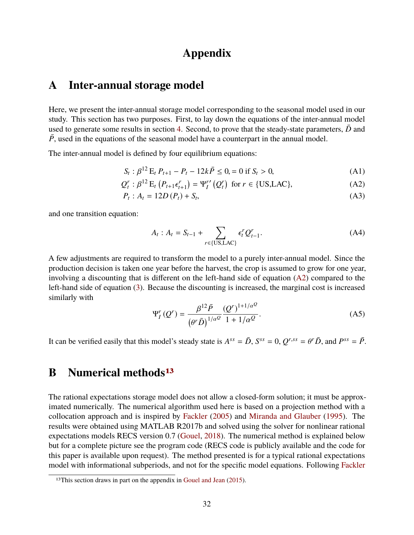## **Appendix**

## <span id="page-33-0"></span>**A Inter-annual storage model**

Here, we present the inter-annual storage model corresponding to the seasonal model used in our study. This section has two purposes. First, to lay down the equations of the inter-annual model used to generate some results in section [4.](#page-23-0) Second, to prove that the steady-state parameters,  $\bar{D}$  and  $\overline{P}$ , used in the equations of the seasonal model have a counterpart in the annual model.

The inter-annual model is defined by four equilibrium equations:

$$
S_t: \beta^{12} \to t_{t+1} - P_t - 12k\bar{P} \le 0 = 0 \text{ if } S_t > 0,
$$
\n(A1)

$$
Q_t^r : \beta^{12} \mathcal{E}_t (P_{t+1} \epsilon_{t+1}^r) = \Psi_l^{r'} (Q_t^r) \text{ for } r \in \{\text{US, LAC}\},\tag{A2}
$$

$$
P_t: A_t = 12D(P_t) + S_t,
$$
 (A3)

and one transition equation:

<span id="page-33-2"></span>
$$
A_{t}: A_{t} = S_{t-1} + \sum_{r \in \{US, LAC\}} \epsilon_{t}^{r} Q_{t-1}^{r}.
$$
 (A4)

A few adjustments are required to transform the model to a purely inter-annual model. Since the production decision is taken one year before the harvest, the crop is assumed to grow for one year, involving a discounting that is different on the left-hand side of equation [\(A2\)](#page-33-2) compared to the left-hand side of equation [\(3\)](#page-7-1). Because the discounting is increased, the marginal cost is increased similarly with

$$
\Psi_{I}^{r}(Q^{r}) = \frac{\beta^{12}\bar{P}}{(\theta^{r}\bar{D})^{1/\alpha^{Q}}} \frac{(Q^{r})^{1+1/\alpha^{Q}}}{1+1/\alpha^{Q}}.
$$
 (A5)

It can be verified easily that this model's steady state is  $A^{ss} = \bar{D}$ ,  $S^{ss} = 0$ ,  $Q^{r,ss} = \theta^r \bar{D}$ , and  $P^{ss} = \bar{P}$ .

## <span id="page-33-1"></span>**B Numerical methods[13](#page-33-3)**

The rational expectations storage model does not allow a closed-form solution; it must be approximated numerically. The numerical algorithm used here is based on a projection method with a collocation approach and is inspired by [Fackler](#page-37-18) [\(2005\)](#page-37-18) and [Miranda and Glauber](#page-39-16) [\(1995\)](#page-39-16). The results were obtained using MATLAB R2017b and solved using the solver for nonlinear rational expectations models RECS version 0.7 [\(Gouel,](#page-38-17) [2018\)](#page-38-17). The numerical method is explained below but for a complete picture see the program code (RECS code is publicly available and the code for this paper is available upon request). The method presented is for a typical rational expectations model with informational subperiods, and not for the specific model equations. Following [Fackler](#page-37-18)

<span id="page-33-3"></span><sup>&</sup>lt;sup>13</sup>This section draws in part on the appendix in [Gouel and Jean](#page-38-15) [\(2015\)](#page-38-15).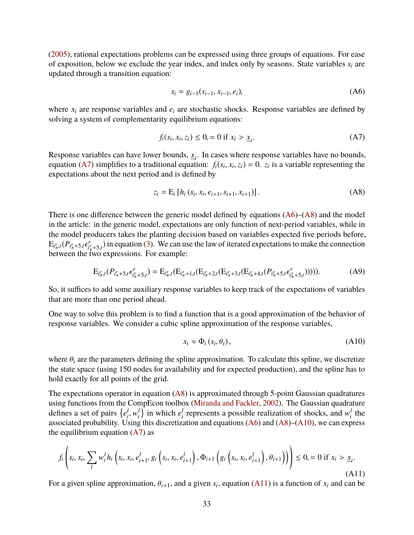[\(2005\)](#page-37-18), rational expectations problems can be expressed using three groups of equations. For ease of exposition, below we exclude the year index, and index only by seasons. State variables *s<sup>i</sup>* are updated through a transition equation:

<span id="page-34-1"></span><span id="page-34-0"></span>
$$
s_i = g_{i-1}(s_{i-1}, x_{i-1}, e_i),
$$
 (A6)

where  $x_i$  are response variables and  $e_i$  are stochastic shocks. Response variables are defined by solving a system of complementarity equilibrium equations:

$$
f_i(s_i, x_i, z_i) \leq 0, = 0 \text{ if } x_i > \underline{x}_i.
$$
 (A7)

Response variables can have lower bounds,  $\underline{x}_i$ . In cases where response variables have no bounds, equation [\(A7\)](#page-34-0) simplifies to a traditional equation:  $f_i(s_i, x_i, z_i) = 0$ .  $z_i$  is a variable representing the expectations about the next period and is defined by expectations about the next period and is defined by

<span id="page-34-2"></span>
$$
z_i = E_i [h_i (s_i, x_i, e_{i+1}, s_{i+1}, x_{i+1})].
$$
 (A8)

There is one difference between the generic model defined by equations  $(A6)$ – $(A8)$  and the model in the article: in the generic model, expectations are only function of next-period variables, while in the model producers takes the planting decision based on variables expected five periods before,  $E_{i^r_\pi,t}(P_{i^r_\pi+5,t}\epsilon^r_{i^r_\pi})$  $f_i^r$ <sub> $i^r_{\pi}$ +5,*t*</sub>) in equation [\(3\)](#page-7-1). We can use the law of iterated expectations to make the connection  $E_{t_{\pi},t}(t_{t_{\pi}+5,t}s_{t_{\pi_{\pi}+5,t}})$  in equation (3). We can use

$$
E_{i'_{\pi},t}(P_{i'_{\pi}+5,t}\epsilon^{r}_{i'_{\pi}+5,t}) = E_{i'_{\pi},t}(E_{i'_{\pi}+1,t}(E_{i'_{\pi}+2,t}(E_{i'_{\pi}+3,t}(E_{i'_{\pi}+4,t}(P_{i'_{\pi}+5,t}\epsilon^{r}_{i'_{\pi}+5,t}))))).
$$
(A9)

So, it suffices to add some auxiliary response variables to keep track of the expectations of variables that are more than one period ahead.

One way to solve this problem is to find a function that is a good approximation of the behavior of response variables. We consider a cubic spline approximation of the response variables,

<span id="page-34-4"></span><span id="page-34-3"></span>
$$
x_i \approx \Phi_i\left(s_i, \theta_i\right),\tag{A10}
$$

where  $\theta_i$  are the parameters defining the spline approximation. To calculate this spline, we discretize the state space (using 150 nodes for availability and for expected production), and the spline has to hold exactly for all points of the grid.

The expectations operator in equation [\(A8\)](#page-34-2) is approximated through 5-point Gaussian quadratures using functions from the CompEcon toolbox [\(Miranda and Fackler,](#page-39-17) [2002\)](#page-39-17). The Gaussian quadrature defines a set of pairs  $\{e_i^l\}$  $\frac{l}{i}$ ,  $w_i^l$ <br>sing  $\{e_i^l\}$  in which  $e_i^l$  $\frac{d}{dt}$  represents a possible realization of shocks, and  $w_i^l$  $\frac{l}{i}$  the associated probability. Using this discretization and equations [\(A6\)](#page-34-1) and [\(A8\)](#page-34-2)–[\(A10\)](#page-34-3), we can express the equilibrium equation  $(A7)$  as

$$
f_i\left(s_i, x_i, \sum_l w_i^l h_i\left(s_i, x_i, e_{i+1}^l, g_i\left(s_i, x_i, e_{i+1}^l\right), \Phi_{i+1}\left(g_i\left(s_i, x_i, e_{i+1}^l\right), \theta_{i+1}\right)\right)\right) \leq 0, = 0 \text{ if } x_i > \underline{x}_i. \tag{A11}
$$

For a given spline approximation,  $\theta_{i+1}$ , and a given  $s_i$ , equation [\(A11\)](#page-34-4) is a function of  $x_i$  and can be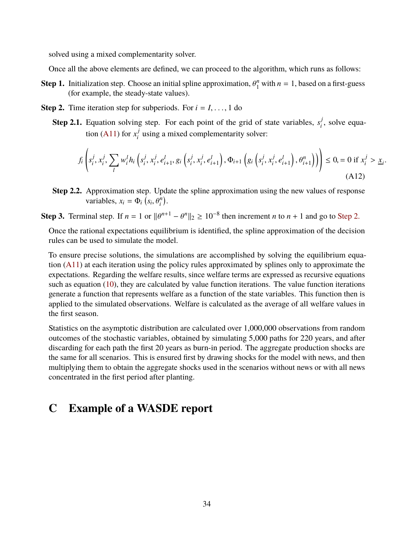solved using a mixed complementarity solver.

Once all the above elements are defined, we can proceed to the algorithm, which runs as follows:

- **Step 1.** Initialization step. Choose an initial spline approximation,  $\theta_1^n$  (for example, the steady-state values)  $\int_1^n$  with  $n = 1$ , based on a first-guess (for example, the steady-state values).
- <span id="page-35-0"></span>**Step 2.** Time iteration step for subperiods. For  $i = 1, \ldots, 1$  do
	- **Step 2.1.** Equation solving step. For each point of the grid of state variables,  $s_i^j$  $i<sub>i</sub>$ , solve equa-tion [\(A11\)](#page-34-4) for  $x_i^j$  $i$ <sup> $j$ </sup> using a mixed complementarity solver:

$$
f_i\left(s_i^j, x_i^j, \sum_l w_i^l h_i\left(s_i^j, x_i^j, e_{i+1}^l, g_i\left(s_i^j, x_i^j, e_{i+1}^l\right), \Phi_{i+1}\left(g_i\left(s_i^j, x_i^j, e_{i+1}^l\right), \theta_{i+1}^n\right)\right)\right) \leq 0, = 0 \text{ if } x_i^j > \underline{x}_i. \tag{A12}
$$

**Step 2.2.** Approximation step. Update the spline approximation using the new values of response variables,  $x_i = \Phi_i \left( s_i, \theta_i^n \right)$ .

# **Step 3.** Terminal step. If  $n = 1$  or  $\|\theta^{n+1} - \theta^n\|_2 \ge 10^{-8}$  then increment *n* to  $n + 1$  and go to [Step 2.](#page-35-0)

Once the rational expectations equilibrium is identified, the spline approximation of the decision rules can be used to simulate the model.

To ensure precise solutions, the simulations are accomplished by solving the equilibrium equation [\(A11\)](#page-34-4) at each iteration using the policy rules approximated by splines only to approximate the expectations. Regarding the welfare results, since welfare terms are expressed as recursive equations such as equation [\(10\)](#page-9-2), they are calculated by value function iterations. The value function iterations generate a function that represents welfare as a function of the state variables. This function then is applied to the simulated observations. Welfare is calculated as the average of all welfare values in the first season.

Statistics on the asymptotic distribution are calculated over 1,000,000 observations from random outcomes of the stochastic variables, obtained by simulating 5,000 paths for 220 years, and after discarding for each path the first 20 years as burn-in period. The aggregate production shocks are the same for all scenarios. This is ensured first by drawing shocks for the model with news, and then multiplying them to obtain the aggregate shocks used in the scenarios without news or with all news concentrated in the first period after planting.

## **C Example of a WASDE report**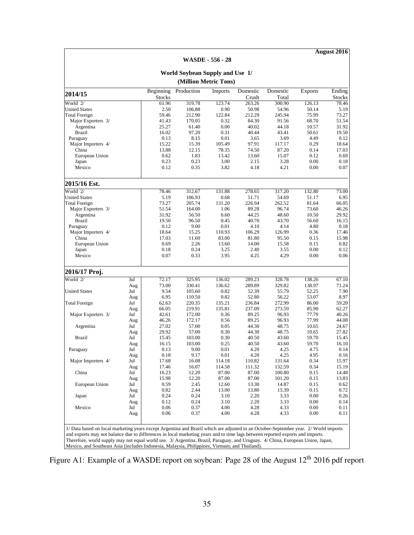**August 2016**

<span id="page-36-0"></span>

| (Million Metric Tons)<br>Production<br>Domestic<br>Beginning<br>Domestic<br><b>Exports</b><br>Imports |            |                |                |                  |                  |                  |              |                         |  |  |  |  |
|-------------------------------------------------------------------------------------------------------|------------|----------------|----------------|------------------|------------------|------------------|--------------|-------------------------|--|--|--|--|
| 2014/15                                                                                               |            | <b>Stocks</b>  |                |                  | Crush            | Total            |              | Ending<br><b>Stocks</b> |  |  |  |  |
| World 2/                                                                                              |            | 61.96          | 319.78         | 123.74           | 263.26           | 300.90           | 126.13       | 78.46                   |  |  |  |  |
| <b>United States</b>                                                                                  |            | 2.50           | 106.88         | 0.90             | 50.98            | 54.96            | 50.14        | 5.19                    |  |  |  |  |
| <b>Total Foreign</b>                                                                                  |            | 59.46          | 212.90         | 122.84           | 212.29           | 245.94           | 75.99        | 73.27                   |  |  |  |  |
| Major Exporters 3/                                                                                    |            | 41.43          | 170.05         | 0.32             | 84.30            | 91.56            | 68.70        | 51.54                   |  |  |  |  |
| Argentina                                                                                             |            | 25.27          | 61.40          | 0.00             | 40.02            | 44.18            | 10.57        | 31.92                   |  |  |  |  |
| <b>Brazil</b>                                                                                         |            | 16.02          | 97.20          | 0.31             | 40.44            | 43.41            | 50.61        | 19.50                   |  |  |  |  |
| Paraguay                                                                                              |            | 0.13           | 8.15           | 0.01             | 3.65             | 3.69             | 4.49         | 0.12                    |  |  |  |  |
| Major Importers 4/                                                                                    |            | 15.22          | 15.39          | 105.49           | 97.91            | 117.17           | 0.29         | 18.64                   |  |  |  |  |
| China                                                                                                 |            | 13.88          | 12.15          | 78.35            | 74.50            | 87.20            | 0.14         | 17.03                   |  |  |  |  |
| European Union                                                                                        |            | 0.62           | 1.83           | 13.42            | 13.60            | 15.07            | 0.12         | 0.69                    |  |  |  |  |
| Japan                                                                                                 |            | 0.23           | 0.23           | 3.00             | 2.15             | 3.28             | 0.00         | 0.18                    |  |  |  |  |
| Mexico                                                                                                |            | 0.12           | 0.35           | 3.82             | 4.18             | 4.21             | 0.00         | 0.07                    |  |  |  |  |
| 2015/16 Est.                                                                                          |            |                |                |                  |                  |                  |              |                         |  |  |  |  |
| World 2/                                                                                              |            | 78.46          | 312.67         | 131.88           | 278.65           | 317.20           | 132.80       | 73.00                   |  |  |  |  |
| <b>United States</b>                                                                                  |            | 5.19           | 106.93         | 0.68             | 51.71            | 54.69            | 51.17        | 6.95                    |  |  |  |  |
| <b>Total Foreign</b>                                                                                  |            | 73.27          | 205.74         | 131.20           | 226.94           | 262.52           | 81.64        | 66.05                   |  |  |  |  |
| Major Exporters 3/                                                                                    |            | 51.54          | 164.00         | 1.06             | 89.28            | 96.74            | 73.60        | 46.26                   |  |  |  |  |
| Argentina                                                                                             |            | 31.92          | 56.50          | 0.60             | 44.25            | 48.60            | 10.50        | 29.92                   |  |  |  |  |
| <b>Brazil</b>                                                                                         |            | 19.50          | 96.50          | 0.45             | 40.70            | 43.70            | 56.60        | 16.15                   |  |  |  |  |
| Paraguay                                                                                              |            | 0.12           | 9.00           | 0.01             | 4.10             | 4.14             | 4.80         | 0.18                    |  |  |  |  |
| Major Importers 4/                                                                                    |            | 18.64          | 15.25          | 110.93           | 106.29           | 126.99           | 0.36         | 17.46                   |  |  |  |  |
| China                                                                                                 |            | 17.03          | 11.60          | 83.00            | 81.80            | 95.50            | 0.15         | 15.98                   |  |  |  |  |
| European Union                                                                                        |            | 0.69           | 2.26           | 13.60            | 14.00            | 15.58            | 0.15         | 0.82                    |  |  |  |  |
| Japan                                                                                                 |            | 0.18           | 0.24           | 3.25             | 2.40             | 3.55             | 0.00         | 0.12                    |  |  |  |  |
| Mexico                                                                                                |            | 0.07           | 0.33           | 3.95             | 4.25             | 4.29             | 0.00         | 0.06                    |  |  |  |  |
| 2016/17 Proj.                                                                                         |            |                |                |                  |                  |                  |              |                         |  |  |  |  |
| World 2/                                                                                              | Jul        | 72.17          | 325.95         | 136.02           | 289.23           | 328.78           | 138.26       | 67.10                   |  |  |  |  |
|                                                                                                       | Aug        | 73.00          | 330.41         | 136.62           | 289.89           | 329.82           | 138.97       | 71.24                   |  |  |  |  |
| <b>United States</b>                                                                                  | Jul        | 9.54           | 105.60         | 0.82             | 52.39            | 55.79            | 52.25        | 7.90                    |  |  |  |  |
|                                                                                                       | Aug        | 6.95           | 110.50         | 0.82             | 52.80            | 56.22            | 53.07        | 8.97                    |  |  |  |  |
| Total Foreign                                                                                         | Jul        | 62.63          | 220.35         | 135.21           | 236.84           | 272.99           | 86.00        | 59.20                   |  |  |  |  |
|                                                                                                       | Aug        | 66.05          | 219.91         | 135.81           | 237.09           | 273.59           | 85.90        | 62.27                   |  |  |  |  |
| Major Exporters 3/                                                                                    | Jul        | 42.61          | 172.00         | 0.36             | 89.25            | 96.93            | 77.79        | 40.26                   |  |  |  |  |
|                                                                                                       | Aug        | 46.26          | 172.17         | 0.56             | 89.25            | 96.93            | 77.99        | 44.08                   |  |  |  |  |
| Argentina                                                                                             | Jul        | 27.02          | 57.00          | 0.05             | 44.30            | 48.75            | 10.65        | 24.67                   |  |  |  |  |
|                                                                                                       | Aug        | 29.92          | 57.00          | 0.30             | 44.30            | 48.75            | 10.65        | 27.82                   |  |  |  |  |
| <b>Brazil</b>                                                                                         | Jul        | 15.45          | 103.00         | 0.30             | 40.50            | 43.60            | 59.70        | 15.45                   |  |  |  |  |
|                                                                                                       | Aug        | 16.15          | 103.00         | 0.25             | 40.50            | 43.60            | 59.70        | 16.10                   |  |  |  |  |
| Paraguay                                                                                              | Jul        | 0.13           | 9.00           | 0.01             | 4.20             | 4.25             | 4.75         | 0.14                    |  |  |  |  |
| Major Importers 4/                                                                                    | Aug        | 0.18           | 9.17           | 0.01             | 4.20             | 4.25             | 4.95         | 0.16<br>15.97           |  |  |  |  |
|                                                                                                       | Jul<br>Aug | 17.68<br>17.46 | 16.08<br>16.07 | 114.18<br>114.58 | 110.82<br>111.32 | 131.64<br>132.59 | 0.34<br>0.34 | 15.19                   |  |  |  |  |
| China                                                                                                 | Jul        | 16.23          | 12.20          | 87.00            | 87.00            | 100.80           | 0.15         | 14.48                   |  |  |  |  |
|                                                                                                       | Aug        | 15.98          | 12.20          | 87.00            | 87.00            | 101.20           | 0.15         | 13.83                   |  |  |  |  |
| European Union                                                                                        | Jul        | 0.59           | 2.45           | 12.60            | 13.30            | 14.87            | 0.15         | 0.62                    |  |  |  |  |
|                                                                                                       | Aug        | 0.82           | 2.44           | 13.00            | 13.80            | 15.39            | 0.15         | 0.72                    |  |  |  |  |
| Japan                                                                                                 | Jul        | 0.24           | 0.24           | 3.10             | 2.20             | 3.33             | 0.00         | 0.26                    |  |  |  |  |
|                                                                                                       | Aug        | 0.12           | 0.24           | 3.10             | 2.20             | 3.33             | 0.00         | 0.14                    |  |  |  |  |
| Mexico                                                                                                | Jul        | 0.06           | 0.37           | 4.00             | 4.28             | 4.33             | 0.00         | 0.11                    |  |  |  |  |
|                                                                                                       | Aug        | 0.06           | 0.37           | 4.00             | 4.28             | 4.33             | 0.00         | 0.11                    |  |  |  |  |

Therefore, world supply may not equal world use. 3/ Argentina, Brazil, Paraguay, and Uruguay. 4/ China, European Union, Japan, Mexico, and Southeast Asia (includes Indonesia, Malaysia, Philippines, Vietnam, and Thailand).

Figure A1: Example of a WASDE report on soybean: Page 28 of the August 12<sup>th</sup> 2016 pdf report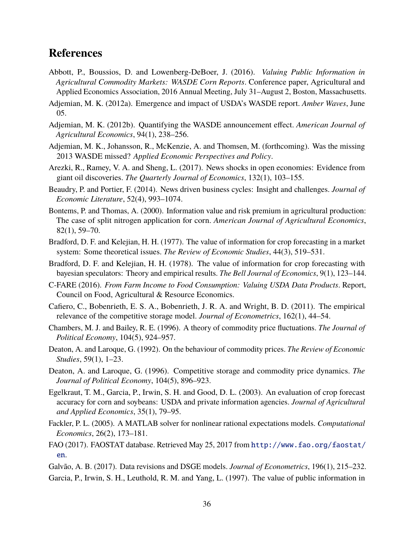## **References**

- <span id="page-37-12"></span>Abbott, P., Boussios, D. and Lowenberg-DeBoer, J. (2016). *Valuing Public Information in Agricultural Commodity Markets: WASDE Corn Reports*. Conference paper, Agricultural and Applied Economics Association, 2016 Annual Meeting, July 31–August 2, Boston, Massachusetts.
- <span id="page-37-7"></span>Adjemian, M. K. (2012a). Emergence and impact of USDA's WASDE report. *Amber Waves*, June 05.
- <span id="page-37-5"></span>Adjemian, M. K. (2012b). Quantifying the WASDE announcement effect. *American Journal of Agricultural Economics*, 94(1), 238–256.
- <span id="page-37-6"></span>Adjemian, M. K., Johansson, R., McKenzie, A. and Thomsen, M. (forthcoming). Was the missing 2013 WASDE missed? *Applied Economic Perspectives and Policy*.
- <span id="page-37-14"></span>Arezki, R., Ramey, V. A. and Sheng, L. (2017). News shocks in open economies: Evidence from giant oil discoveries. *The Quarterly Journal of Economics*, 132(1), 103–155.
- <span id="page-37-9"></span>Beaudry, P. and Portier, F. (2014). News driven business cycles: Insight and challenges. *Journal of Economic Literature*, 52(4), 993–1074.
- <span id="page-37-3"></span>Bontems, P. and Thomas, A. (2000). Information value and risk premium in agricultural production: The case of split nitrogen application for corn. *American Journal of Agricultural Economics*, 82(1), 59–70.
- <span id="page-37-1"></span>Bradford, D. F. and Kelejian, H. H. (1977). The value of information for crop forecasting in a market system: Some theoretical issues. *The Review of Economic Studies*, 44(3), 519–531.
- <span id="page-37-2"></span>Bradford, D. F. and Kelejian, H. H. (1978). The value of information for crop forecasting with bayesian speculators: Theory and empirical results. *The Bell Journal of Economics*, 9(1), 123–144.
- <span id="page-37-0"></span>C-FARE (2016). *From Farm Income to Food Consumption: Valuing USDA Data Products*. Report, Council on Food, Agricultural & Resource Economics.
- <span id="page-37-13"></span>Cafiero, C., Bobenrieth, E. S. A., Bobenrieth, J. R. A. and Wright, B. D. (2011). The empirical relevance of the competitive storage model. *Journal of Econometrics*, 162(1), 44–54.
- <span id="page-37-8"></span>Chambers, M. J. and Bailey, R. E. (1996). A theory of commodity price fluctuations. *The Journal of Political Economy*, 104(5), 924–957.
- <span id="page-37-10"></span>Deaton, A. and Laroque, G. (1992). On the behaviour of commodity prices. *The Review of Economic Studies*, 59(1), 1–23.
- <span id="page-37-11"></span>Deaton, A. and Laroque, G. (1996). Competitive storage and commodity price dynamics. *The Journal of Political Economy*, 104(5), 896–923.
- <span id="page-37-17"></span>Egelkraut, T. M., Garcia, P., Irwin, S. H. and Good, D. L. (2003). An evaluation of crop forecast accuracy for corn and soybeans: USDA and private information agencies. *Journal of Agricultural and Applied Economics*, 35(1), 79–95.
- <span id="page-37-18"></span>Fackler, P. L. (2005). A MATLAB solver for nonlinear rational expectations models. *Computational Economics*, 26(2), 173–181.
- <span id="page-37-15"></span>FAO (2017). FAOSTAT database. Retrieved May 25, 2017 from [http://www.fao.org/faostat/](http://www.fao.org/faostat/en) [en](http://www.fao.org/faostat/en).
- <span id="page-37-16"></span>Galvão, A. B. (2017). Data revisions and DSGE models. *Journal of Econometrics*, 196(1), 215–232.
- <span id="page-37-4"></span>Garcia, P., Irwin, S. H., Leuthold, R. M. and Yang, L. (1997). The value of public information in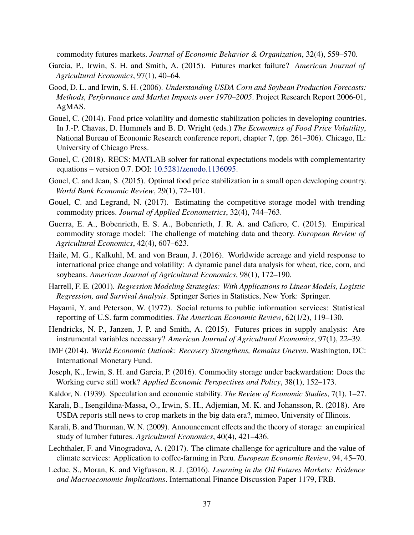commodity futures markets. *Journal of Economic Behavior & Organization*, 32(4), 559–570.

- <span id="page-38-7"></span>Garcia, P., Irwin, S. H. and Smith, A. (2015). Futures market failure? *American Journal of Agricultural Economics*, 97(1), 40–64.
- <span id="page-38-11"></span>Good, D. L. and Irwin, S. H. (2006). *Understanding USDA Corn and Soybean Production Forecasts: Methods, Performance and Market Impacts over 1970–2005*. Project Research Report 2006-01, AgMAS.
- <span id="page-38-14"></span>Gouel, C. (2014). Food price volatility and domestic stabilization policies in developing countries. In J.-P. Chavas, D. Hummels and B. D. Wright (eds.) *The Economics of Food Price Volatility*, National Bureau of Economic Research conference report, chapter 7, (pp. 261–306). Chicago, IL: University of Chicago Press.
- <span id="page-38-17"></span>Gouel, C. (2018). RECS: MATLAB solver for rational expectations models with complementarity equations – version 0.7. DOI: [10.5281/zenodo.1136095.](https://doi.org/10.5281/zenodo.1136095)
- <span id="page-38-15"></span>Gouel, C. and Jean, S. (2015). Optimal food price stabilization in a small open developing country. *World Bank Economic Review*, 29(1), 72–101.
- <span id="page-38-3"></span>Gouel, C. and Legrand, N. (2017). Estimating the competitive storage model with trending commodity prices. *Journal of Applied Econometrics*, 32(4), 744–763.
- <span id="page-38-16"></span>Guerra, E. A., Bobenrieth, E. S. A., Bobenrieth, J. R. A. and Cafiero, C. (2015). Empirical commodity storage model: The challenge of matching data and theory. *European Review of Agricultural Economics*, 42(4), 607–623.
- <span id="page-38-10"></span>Haile, M. G., Kalkuhl, M. and von Braun, J. (2016). Worldwide acreage and yield response to international price change and volatility: A dynamic panel data analysis for wheat, rice, corn, and soybeans. *American Journal of Agricultural Economics*, 98(1), 172–190.
- <span id="page-38-9"></span>Harrell, F. E. (2001). *Regression Modeling Strategies: With Applications to Linear Models, Logistic Regression, and Survival Analysis*. Springer Series in Statistics, New York: Springer.
- <span id="page-38-0"></span>Hayami, Y. and Peterson, W. (1972). Social returns to public information services: Statistical reporting of U.S. farm commodities. *The American Economic Review*, 62(1/2), 119–130.
- <span id="page-38-8"></span>Hendricks, N. P., Janzen, J. P. and Smith, A. (2015). Futures prices in supply analysis: Are instrumental variables necessary? *American Journal of Agricultural Economics*, 97(1), 22–39.
- <span id="page-38-4"></span>IMF (2014). *World Economic Outlook: Recovery Strengthens, Remains Uneven*. Washington, DC: International Monetary Fund.
- <span id="page-38-5"></span>Joseph, K., Irwin, S. H. and Garcia, P. (2016). Commodity storage under backwardation: Does the Working curve still work? *Applied Economic Perspectives and Policy*, 38(1), 152–173.
- <span id="page-38-6"></span>Kaldor, N. (1939). Speculation and economic stability. *The Review of Economic Studies*, 7(1), 1–27.
- <span id="page-38-12"></span>Karali, B., Isengildina-Massa, O., Irwin, S. H., Adjemian, M. K. and Johansson, R. (2018). Are USDA reports still news to crop markets in the big data era?, mimeo, University of Illinois.
- <span id="page-38-2"></span>Karali, B. and Thurman, W. N. (2009). Announcement effects and the theory of storage: an empirical study of lumber futures. *Agricultural Economics*, 40(4), 421–436.
- <span id="page-38-1"></span>Lechthaler, F. and Vinogradova, A. (2017). The climate challenge for agriculture and the value of climate services: Application to coffee-farming in Peru. *European Economic Review*, 94, 45–70.
- <span id="page-38-13"></span>Leduc, S., Moran, K. and Vigfusson, R. J. (2016). *Learning in the Oil Futures Markets: Evidence and Macroeconomic Implications*. International Finance Discussion Paper 1179, FRB.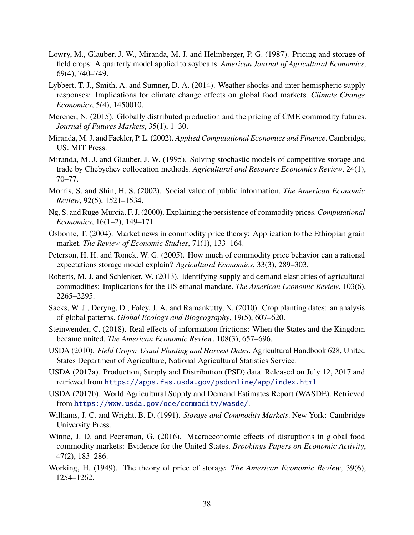- <span id="page-39-1"></span>Lowry, M., Glauber, J. W., Miranda, M. J. and Helmberger, P. G. (1987). Pricing and storage of field crops: A quarterly model applied to soybeans. *American Journal of Agricultural Economics*, 69(4), 740–749.
- <span id="page-39-15"></span>Lybbert, T. J., Smith, A. and Sumner, D. A. (2014). Weather shocks and inter-hemispheric supply responses: Implications for climate change effects on global food markets. *Climate Change Economics*, 5(4), 1450010.
- <span id="page-39-0"></span>Merener, N. (2015). Globally distributed production and the pricing of CME commodity futures. *Journal of Futures Markets*, 35(1), 1–30.
- <span id="page-39-17"></span>Miranda, M. J. and Fackler, P. L. (2002). *Applied Computational Economics and Finance*. Cambridge, US: MIT Press.
- <span id="page-39-16"></span>Miranda, M. J. and Glauber, J. W. (1995). Solving stochastic models of competitive storage and trade by Chebychev collocation methods. *Agricultural and Resource Economics Review*, 24(1), 70–77.
- <span id="page-39-14"></span>Morris, S. and Shin, H. S. (2002). Social value of public information. *The American Economic Review*, 92(5), 1521–1534.
- <span id="page-39-3"></span>Ng, S. and Ruge-Murcia, F. J. (2000). Explaining the persistence of commodity prices. *Computational Economics*, 16(1–2), 149–171.
- <span id="page-39-4"></span>Osborne, T. (2004). Market news in commodity price theory: Application to the Ethiopian grain market. *The Review of Economic Studies*, 71(1), 133–164.
- <span id="page-39-5"></span>Peterson, H. H. and Tomek, W. G. (2005). How much of commodity price behavior can a rational expectations storage model explain? *Agricultural Economics*, 33(3), 289–303.
- <span id="page-39-7"></span>Roberts, M. J. and Schlenker, W. (2013). Identifying supply and demand elasticities of agricultural commodities: Implications for the US ethanol mandate. *The American Economic Review*, 103(6), 2265–2295.
- <span id="page-39-10"></span>Sacks, W. J., Deryng, D., Foley, J. A. and Ramankutty, N. (2010). Crop planting dates: an analysis of global patterns. *Global Ecology and Biogeography*, 19(5), 607–620.
- <span id="page-39-6"></span>Steinwender, C. (2018). Real effects of information frictions: When the States and the Kingdom became united. *The American Economic Review*, 108(3), 657–696.
- <span id="page-39-12"></span>USDA (2010). *Field Crops: Usual Planting and Harvest Dates*. Agricultural Handbook 628, United States Department of Agriculture, National Agricultural Statistics Service.
- <span id="page-39-13"></span>USDA (2017a). Production, Supply and Distribution (PSD) data. Released on July 12, 2017 and retrieved from <https://apps.fas.usda.gov/psdonline/app/index.html>.
- <span id="page-39-11"></span>USDA (2017b). World Agricultural Supply and Demand Estimates Report (WASDE). Retrieved from <https://www.usda.gov/oce/commodity/wasde/>.
- <span id="page-39-2"></span>Williams, J. C. and Wright, B. D. (1991). *Storage and Commodity Markets*. New York: Cambridge University Press.
- <span id="page-39-9"></span>Winne, J. D. and Peersman, G. (2016). Macroeconomic effects of disruptions in global food commodity markets: Evidence for the United States. *Brookings Papers on Economic Activity*, 47(2), 183–286.
- <span id="page-39-8"></span>Working, H. (1949). The theory of price of storage. *The American Economic Review*, 39(6), 1254–1262.